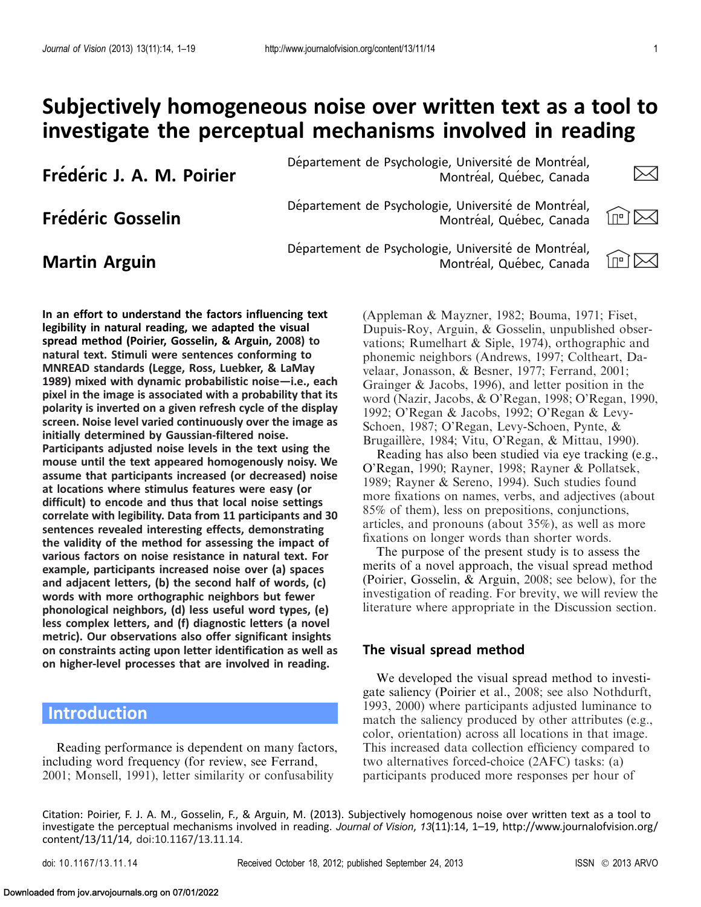# Subjectively homogeneous noise over written text as a tool to investigate the perceptual mechanisms involved in reading

Département de Psychologie, Université de Montréal,<br>Montréal, Québec, Canada **(1944)** Montréal, Québec, Canada Montréal, Québec, Canada

Département de Psychologie, Université de Montréal,<br>Montréal. Québec. Canada <sup>i i a</sup> Montréal, Ouébec. Canada i en Montréal, Ouébec. Canada i en Montréal, oué Montréal, Québec, Canada



Département de Psychologie, Université de Montréal,<br>Martin Arguin *i e de Montréal*, Québec, Canada Montréal, Québec, Canada

In an effort to understand the factors influencing text legibility in natural reading, we adapted the visual spread method (Poirier, Gosselin, & Arguin, [2008](#page-13-0)) to natural text. Stimuli were sentences conforming to MNREAD standards (Legge, Ross, Luebker, & LaMay [1989\)](#page-12-0) mixed with dynamic probabilistic noise—i.e., each pixel in the image is associated with a probability that its polarity is inverted on a given refresh cycle of the display screen. Noise level varied continuously over the image as initially determined by Gaussian-filtered noise. Participants adjusted noise levels in the text using the mouse until the text appeared homogenously noisy. We assume that participants increased (or decreased) noise at locations where stimulus features were easy (or difficult) to encode and thus that local noise settings correlate with legibility. Data from 11 participants and 30 sentences revealed interesting effects, demonstrating the validity of the method for assessing the impact of various factors on noise resistance in natural text. For example, participants increased noise over (a) spaces and adjacent letters, (b) the second half of words, (c) words with more orthographic neighbors but fewer phonological neighbors, (d) less useful word types, (e) less complex letters, and (f) diagnostic letters (a novel metric). Our observations also offer significant insights on constraints acting upon letter identification as well as on higher-level processes that are involved in reading.

## **Introduction**

Reading performance is dependent on many factors, including word frequency (for review, see Ferrand, [2001;](#page-12-0) Monsell, [1991\)](#page-12-0), letter similarity or confusability

(Appleman & Mayzner, [1982](#page-11-0); Bouma, [1971](#page-11-0); Fiset, Dupuis-Roy, Arguin, & Gosselin, unpublished observations; Rumelhart & Siple, [1974](#page-13-0)), orthographic and phonemic neighbors (Andrews, [1997;](#page-11-0) Coltheart, Davelaar, Jonasson, & Besner, [1977](#page-11-0); Ferrand, [2001;](#page-12-0) Grainger & Jacobs, [1996\)](#page-12-0), and letter position in the word (Nazir, Jacobs, & O'Regan, [1998](#page-12-0); O'Regan, [1990](#page-12-0), [1992;](#page-12-0) O'Regan & Jacobs, [1992;](#page-13-0) O'Regan & Levy-Schoen, [1987](#page-13-0); O'Regan, Levy-Schoen, Pynte, & Brugaillère, [1984;](#page-13-0) Vitu, O'Regan, & Mittau, [1990\)](#page-14-0).

Reading has also been studied via eye tracking (e.g., O'Regan, [1990](#page-12-0); Rayner, [1998;](#page-13-0) Rayner & Pollatsek, [1989;](#page-13-0) Rayner & Sereno, [1994](#page-13-0)). Such studies found more fixations on names, verbs, and adjectives (about 85% of them), less on prepositions, conjunctions, articles, and pronouns (about 35%), as well as more fixations on longer words than shorter words.

The purpose of the present study is to assess the merits of a novel approach, the visual spread method (Poirier, Gosselin, & Arguin, [2008;](#page-13-0) see below), for the investigation of reading. For brevity, we will review the literature where appropriate in the [Discussion](#page-7-0) section.

#### The visual spread method

We developed the visual spread method to investigate saliency (Poirier et al., [2008](#page-13-0); see also Nothdurft, [1993, 2000](#page-12-0)) where participants adjusted luminance to match the saliency produced by other attributes (e.g., color, orientation) across all locations in that image. This increased data collection efficiency compared to two alternatives forced-choice (2AFC) tasks: (a) participants produced more responses per hour of

Citation: Poirier, F. J. A. M., Gosselin, F., & Arguin, M. (2013). Subjectively homogenous noise over written text as a tool to investigate the perceptual mechanisms involved in reading. Journal of Vision, 13(11):14, 1–19, http://www.journalofvision.org/ content/13/11/14, doi:10.1167/13.11.14.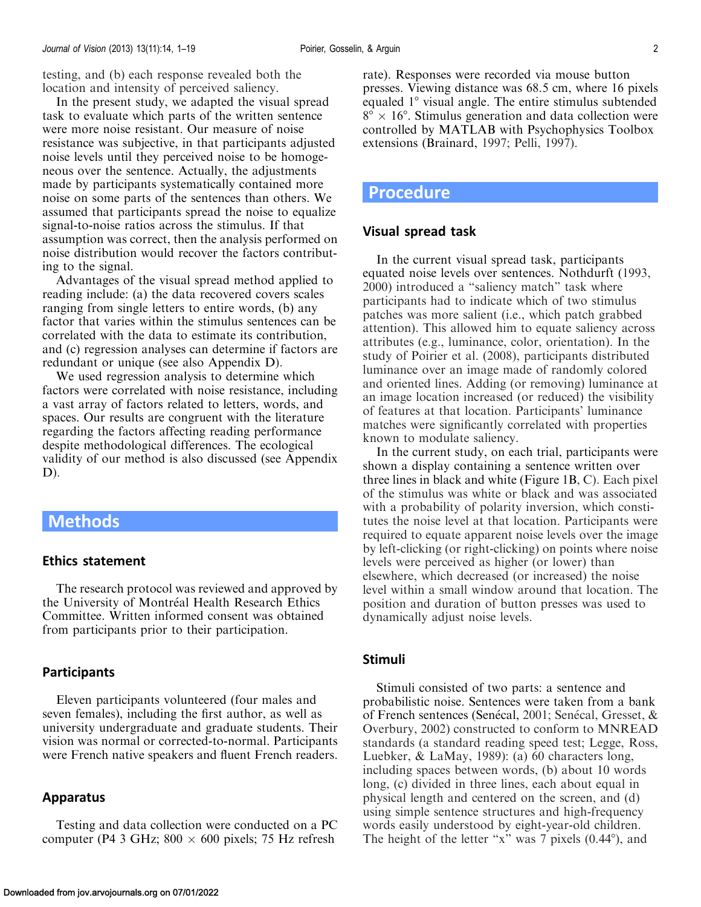testing, and (b) each response revealed both the location and intensity of perceived saliency.

In the present study, we adapted the visual spread task to evaluate which parts of the written sentence were more noise resistant. Our measure of noise resistance was subjective, in that participants adjusted noise levels until they perceived noise to be homogeneous over the sentence. Actually, the adjustments made by participants systematically contained more noise on some parts of the sentences than others. We assumed that participants spread the noise to equalize signal-to-noise ratios across the stimulus. If that assumption was correct, then the analysis performed on noise distribution would recover the factors contributing to the signal.

Advantages of the visual spread method applied to reading include: (a) the data recovered covers scales ranging from single letters to entire words, (b) any factor that varies within the stimulus sentences can be correlated with the data to estimate its contribution, and (c) regression analyses can determine if factors are redundant or unique (see also [Appendix D](#page-17-0)).

We used regression analysis to determine which factors were correlated with noise resistance, including a vast array of factors related to letters, words, and spaces. Our results are congruent with the literature regarding the factors affecting reading performance despite methodological differences. The ecological validity of our method is also discussed (see [Appendix](#page-17-0) [D](#page-17-0)).

### Methods

#### Ethics statement

The research protocol was reviewed and approved by the University of Montréal Health Research Ethics Committee. Written informed consent was obtained from participants prior to their participation.

#### Participants

Eleven participants volunteered (four males and seven females), including the first author, as well as university undergraduate and graduate students. Their vision was normal or corrected-to-normal. Participants were French native speakers and fluent French readers.

#### Apparatus

Testing and data collection were conducted on a PC computer (P4 3 GHz;  $800 \times 600$  pixels; 75 Hz refresh

rate). Responses were recorded via mouse button presses. Viewing distance was 68.5 cm, where 16 pixels equaled 1<sup>°</sup> visual angle. The entire stimulus subtended  $8^{\circ} \times 16^{\circ}$ . Stimulus generation and data collection were controlled by MATLAB with Psychophysics Toolbox extensions (Brainard, [1997;](#page-11-0) Pelli, [1997](#page-13-0)).

### Procedure

#### Visual spread task

In the current visual spread task, participants equated noise levels over sentences. Nothdurft ([1993,](#page-12-0) [2000\)](#page-12-0) introduced a ''saliency match'' task where participants had to indicate which of two stimulus patches was more salient (i.e., which patch grabbed attention). This allowed him to equate saliency across attributes (e.g., luminance, color, orientation). In the study of Poirier et al. ([2008\)](#page-13-0), participants distributed luminance over an image made of randomly colored and oriented lines. Adding (or removing) luminance at an image location increased (or reduced) the visibility of features at that location. Participants' luminance matches were significantly correlated with properties known to modulate saliency.

In the current study, on each trial, participants were shown a display containing a sentence written over three lines in black and white ([Figure 1B, C](#page-2-0)). Each pixel of the stimulus was white or black and was associated with a probability of polarity inversion, which constitutes the noise level at that location. Participants were required to equate apparent noise levels over the image by left-clicking (or right-clicking) on points where noise levels were perceived as higher (or lower) than elsewhere, which decreased (or increased) the noise level within a small window around that location. The position and duration of button presses was used to dynamically adjust noise levels.

#### Stimuli

Stimuli consisted of two parts: a sentence and probabilistic noise. Sentences were taken from a bank of French sentences (Senécal, [2001;](#page-13-0) Senécal, Gresset, & Overbury, [2002\)](#page-13-0) constructed to conform to MNREAD standards (a standard reading speed test; Legge, Ross, Luebker, & LaMay, [1989\)](#page-12-0): (a) 60 characters long, including spaces between words, (b) about 10 words long, (c) divided in three lines, each about equal in physical length and centered on the screen, and (d) using simple sentence structures and high-frequency words easily understood by eight-year-old children. The height of the letter "x" was 7 pixels  $(0.44^{\circ})$ , and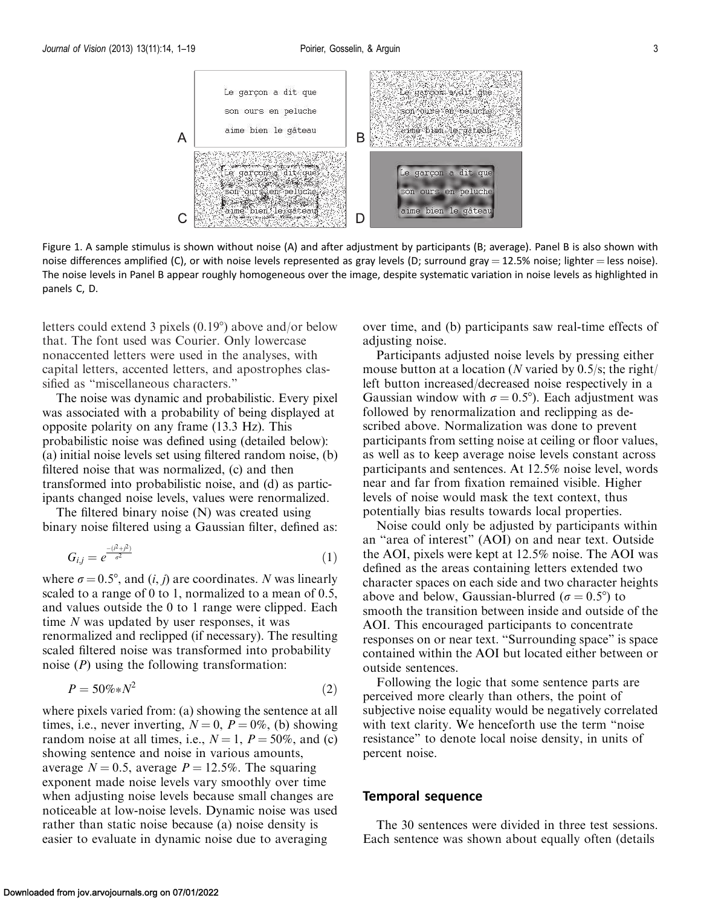<span id="page-2-0"></span>

Figure 1. A sample stimulus is shown without noise (A) and after adjustment by participants (B; average). Panel B is also shown with noise differences amplified (C), or with noise levels represented as gray levels (D; surround gray = 12.5% noise; lighter = less noise). The noise levels in Panel B appear roughly homogeneous over the image, despite systematic variation in noise levels as highlighted in panels C, D.

letters could extend 3 pixels  $(0.19^{\circ})$  above and/or below that. The font used was Courier. Only lowercase nonaccented letters were used in the analyses, with capital letters, accented letters, and apostrophes classified as ''miscellaneous characters.''

The noise was dynamic and probabilistic. Every pixel was associated with a probability of being displayed at opposite polarity on any frame (13.3 Hz). This probabilistic noise was defined using (detailed below): (a) initial noise levels set using filtered random noise, (b) filtered noise that was normalized, (c) and then transformed into probabilistic noise, and (d) as participants changed noise levels, values were renormalized.

The filtered binary noise (N) was created using binary noise filtered using a Gaussian filter, defined as:

$$
G_{i,j} = e^{\frac{-(i^2+j^2)}{\sigma^2}}
$$
 (1)

where  $\sigma = 0.5^{\circ}$ , and  $(i, j)$  are coordinates. N was linearly scaled to a range of 0 to 1, normalized to a mean of 0.5, and values outside the 0 to 1 range were clipped. Each time  $N$  was updated by user responses, it was

renormalized and reclipped (if necessary). The resulting scaled filtered noise was transformed into probability noise  $(P)$  using the following transformation:

$$
P = 50\% \cdot \text{N}^2 \tag{2}
$$

where pixels varied from: (a) showing the sentence at all times, i.e., never inverting,  $N = 0$ ,  $P = 0\%$ , (b) showing random noise at all times, i.e.,  $N = 1$ ,  $P = 50\%$ , and (c) showing sentence and noise in various amounts, average  $N = 0.5$ , average  $P = 12.5\%$ . The squaring exponent made noise levels vary smoothly over time when adjusting noise levels because small changes are noticeable at low-noise levels. Dynamic noise was used rather than static noise because (a) noise density is easier to evaluate in dynamic noise due to averaging

over time, and (b) participants saw real-time effects of adjusting noise.

Participants adjusted noise levels by pressing either mouse button at a location (N varied by 0.5/s; the right/ left button increased/decreased noise respectively in a Gaussian window with  $\sigma = 0.5^{\circ}$ ). Each adjustment was followed by renormalization and reclipping as described above. Normalization was done to prevent participants from setting noise at ceiling or floor values, as well as to keep average noise levels constant across participants and sentences. At 12.5% noise level, words near and far from fixation remained visible. Higher levels of noise would mask the text context, thus potentially bias results towards local properties.

Noise could only be adjusted by participants within an ''area of interest'' (AOI) on and near text. Outside the AOI, pixels were kept at 12.5% noise. The AOI was defined as the areas containing letters extended two character spaces on each side and two character heights above and below, Gaussian-blurred ( $\sigma = 0.5^{\circ}$ ) to smooth the transition between inside and outside of the AOI. This encouraged participants to concentrate responses on or near text. ''Surrounding space'' is space contained within the AOI but located either between or outside sentences.

Following the logic that some sentence parts are perceived more clearly than others, the point of subjective noise equality would be negatively correlated with text clarity. We henceforth use the term "noise" resistance'' to denote local noise density, in units of percent noise.

#### Temporal sequence

The 30 sentences were divided in three test sessions. Each sentence was shown about equally often (details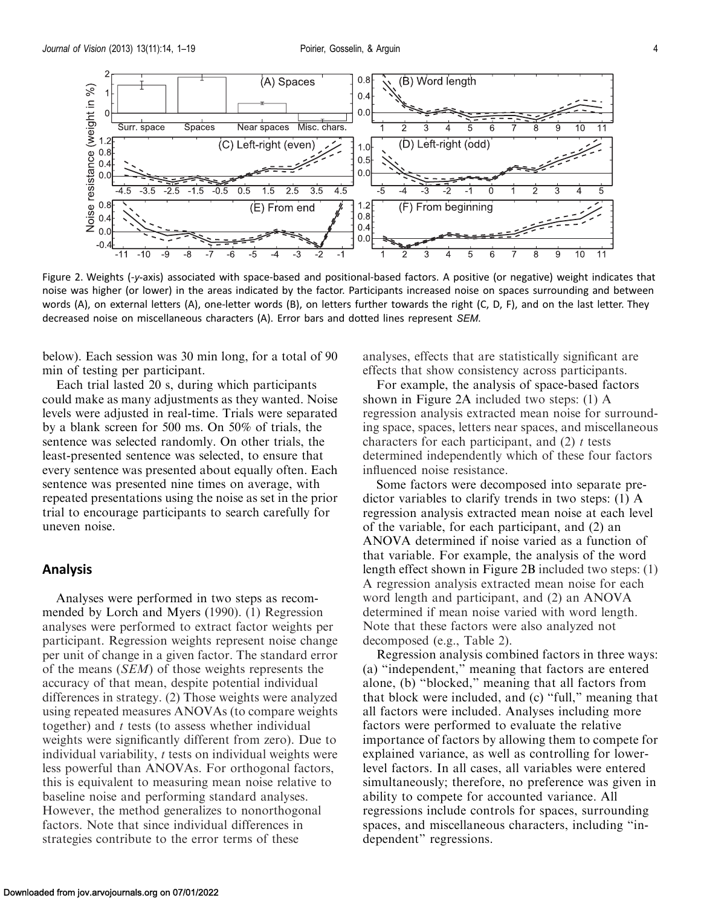<span id="page-3-0"></span>

Figure 2. Weights (-y-axis) associated with space-based and positional-based factors. A positive (or negative) weight indicates that noise was higher (or lower) in the areas indicated by the factor. Participants increased noise on spaces surrounding and between words (A), on external letters (A), one-letter words (B), on letters further towards the right (C, D, F), and on the last letter. They decreased noise on miscellaneous characters (A). Error bars and dotted lines represent SEM.

below). Each session was 30 min long, for a total of 90 min of testing per participant.

Each trial lasted 20 s, during which participants could make as many adjustments as they wanted. Noise levels were adjusted in real-time. Trials were separated by a blank screen for 500 ms. On 50% of trials, the sentence was selected randomly. On other trials, the least-presented sentence was selected, to ensure that every sentence was presented about equally often. Each sentence was presented nine times on average, with repeated presentations using the noise as set in the prior trial to encourage participants to search carefully for uneven noise.

#### Analysis

Analyses were performed in two steps as recommended by Lorch and Myers ([1990](#page-12-0)). (1) Regression analyses were performed to extract factor weights per participant. Regression weights represent noise change per unit of change in a given factor. The standard error of the means (SEM) of those weights represents the accuracy of that mean, despite potential individual differences in strategy. (2) Those weights were analyzed using repeated measures ANOVAs (to compare weights together) and  $t$  tests (to assess whether individual weights were significantly different from zero). Due to individual variability, t tests on individual weights were less powerful than ANOVAs. For orthogonal factors, this is equivalent to measuring mean noise relative to baseline noise and performing standard analyses. However, the method generalizes to nonorthogonal factors. Note that since individual differences in strategies contribute to the error terms of these

analyses, effects that are statistically significant are effects that show consistency across participants.

For example, the analysis of space-based factors shown in Figure 2A included two steps: (1) A regression analysis extracted mean noise for surrounding space, spaces, letters near spaces, and miscellaneous characters for each participant, and  $(2)$  t tests determined independently which of these four factors influenced noise resistance.

Some factors were decomposed into separate predictor variables to clarify trends in two steps: (1) A regression analysis extracted mean noise at each level of the variable, for each participant, and (2) an ANOVA determined if noise varied as a function of that variable. For example, the analysis of the word length effect shown in Figure 2B included two steps: (1) A regression analysis extracted mean noise for each word length and participant, and (2) an ANOVA determined if mean noise varied with word length. Note that these factors were also analyzed not decomposed (e.g., [Table 2\)](#page-4-0).

Regression analysis combined factors in three ways: (a) ''independent,'' meaning that factors are entered alone, (b) ''blocked,'' meaning that all factors from that block were included, and (c) ''full,'' meaning that all factors were included. Analyses including more factors were performed to evaluate the relative importance of factors by allowing them to compete for explained variance, as well as controlling for lowerlevel factors. In all cases, all variables were entered simultaneously; therefore, no preference was given in ability to compete for accounted variance. All regressions include controls for spaces, surrounding spaces, and miscellaneous characters, including ''independent'' regressions.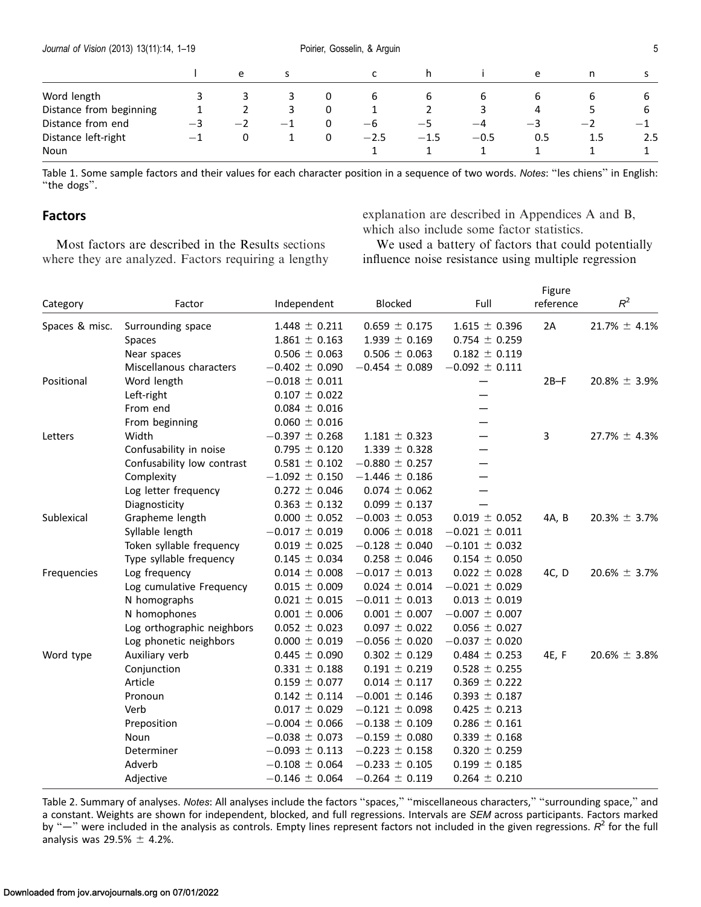<span id="page-4-0"></span>Journal of Vision (2013) 13(11):14, 1–19 Poirier, Gosselin, & Arguin 5

|                         |                          | e                        |    |          |        | n.     |        | e    | n   |                   |
|-------------------------|--------------------------|--------------------------|----|----------|--------|--------|--------|------|-----|-------------------|
| Word length             |                          |                          | 3. | υ        | ь      | b      |        | b    | ь   |                   |
| Distance from beginning |                          |                          | 3. | 0        |        |        |        | 4    |     | b                 |
| Distance from end       | $-5$                     | $\overline{\phantom{0}}$ | -1 | $^{(1)}$ | -6     | $-5$   | -4     | $-5$ | — 1 | $\qquad \qquad -$ |
| Distance left-right     | $\overline{\phantom{0}}$ |                          |    | 0        | $-2.5$ | $-1.5$ | $-0.5$ | 0.5  | 1.5 | 2.5               |
| Noun                    |                          |                          |    |          |        |        |        |      |     |                   |

Table 1. Some sample factors and their values for each character position in a sequence of two words. Notes: "les chiens" in English: ''the dogs''.

#### Factors

Most factors are described in the Results sections where they are analyzed. Factors requiring a lengthy explanation are described in [Appendices A](#page-14-0) and [B](#page-16-0), which also include some factor statistics.

We used a battery of factors that could potentially influence noise resistance using multiple regression

| Category       | Factor                     | Independent        | <b>Blocked</b>     | Full               | Figure<br>reference | $R^2$              |
|----------------|----------------------------|--------------------|--------------------|--------------------|---------------------|--------------------|
| Spaces & misc. | Surrounding space          | $1.448 \pm 0.211$  | $0.659 \pm 0.175$  | $1.615 \pm 0.396$  | 2A                  | $21.7\% \pm 4.1\%$ |
|                | <b>Spaces</b>              | $1.861 \pm 0.163$  | $1.939 \pm 0.169$  | $0.754 \pm 0.259$  |                     |                    |
|                | Near spaces                | $0.506 \pm 0.063$  | $0.506 \pm 0.063$  | $0.182 \pm 0.119$  |                     |                    |
|                | Miscellanous characters    | $-0.402 \pm 0.090$ | $-0.454 \pm 0.089$ | $-0.092 \pm 0.111$ |                     |                    |
| Positional     | Word length                | $-0.018 \pm 0.011$ |                    |                    | $2B-F$              | $20.8\% \pm 3.9\%$ |
|                | Left-right                 | $0.107 \pm 0.022$  |                    |                    |                     |                    |
|                | From end                   | $0.084 \pm 0.016$  |                    |                    |                     |                    |
|                | From beginning             | $0.060 \pm 0.016$  |                    |                    |                     |                    |
| Letters        | Width                      | $-0.397 \pm 0.268$ | $1.181 \pm 0.323$  |                    | 3                   | $27.7\% \pm 4.3\%$ |
|                | Confusability in noise     | $0.795 \pm 0.120$  | $1.339 \pm 0.328$  |                    |                     |                    |
|                | Confusability low contrast | $0.581 \pm 0.102$  | $-0.880 \pm 0.257$ |                    |                     |                    |
|                | Complexity                 | $-1.092 \pm 0.150$ | $-1.446 \pm 0.186$ |                    |                     |                    |
|                | Log letter frequency       | $0.272 \pm 0.046$  | $0.074 \pm 0.062$  |                    |                     |                    |
|                | Diagnosticity              | $0.363 \pm 0.132$  | $0.099 \pm 0.137$  |                    |                     |                    |
| Sublexical     | Grapheme length            | $0.000 \pm 0.052$  | $-0.003 \pm 0.053$ | $0.019 \pm 0.052$  | 4A, B               | $20.3\% \pm 3.7\%$ |
|                | Syllable length            | $-0.017 \pm 0.019$ | $0.006 \pm 0.018$  | $-0.021 \pm 0.011$ |                     |                    |
|                | Token syllable frequency   | $0.019 \pm 0.025$  | $-0.128 \pm 0.040$ | $-0.101 \pm 0.032$ |                     |                    |
|                | Type syllable frequency    | $0.145 \pm 0.034$  | $0.258 \pm 0.046$  | $0.154 \pm 0.050$  |                     |                    |
| Frequencies    | Log frequency              | $0.014 \pm 0.008$  | $-0.017 \pm 0.013$ | $0.022 \pm 0.028$  | 4C, D               | $20.6\% \pm 3.7\%$ |
|                | Log cumulative Frequency   | $0.015 \pm 0.009$  | $0.024 \pm 0.014$  | $-0.021 \pm 0.029$ |                     |                    |
|                | N homographs               | $0.021 \pm 0.015$  | $-0.011 \pm 0.013$ | $0.013 \pm 0.019$  |                     |                    |
|                | N homophones               | $0.001 \pm 0.006$  | $0.001 \pm 0.007$  | $-0.007 \pm 0.007$ |                     |                    |
|                | Log orthographic neighbors | $0.052 \pm 0.023$  | $0.097 \pm 0.022$  | $0.056 \pm 0.027$  |                     |                    |
|                | Log phonetic neighbors     | $0.000 \pm 0.019$  | $-0.056 \pm 0.020$ | $-0.037 \pm 0.020$ |                     |                    |
| Word type      | Auxiliary verb             | $0.445 \pm 0.090$  | $0.302 \pm 0.129$  | $0.484 \pm 0.253$  | 4E, F               | $20.6\% \pm 3.8\%$ |
|                | Conjunction                | $0.331 \pm 0.188$  | $0.191 \pm 0.219$  | $0.528 \pm 0.255$  |                     |                    |
|                | Article                    | $0.159 \pm 0.077$  | $0.014 \pm 0.117$  | $0.369 \pm 0.222$  |                     |                    |
|                | Pronoun                    | $0.142 \pm 0.114$  | $-0.001 \pm 0.146$ | $0.393 \pm 0.187$  |                     |                    |
|                | Verb                       | $0.017 \pm 0.029$  | $-0.121 \pm 0.098$ | $0.425 \pm 0.213$  |                     |                    |
|                | Preposition                | $-0.004 \pm 0.066$ | $-0.138 \pm 0.109$ | $0.286 \pm 0.161$  |                     |                    |
|                | Noun                       | $-0.038 \pm 0.073$ | $-0.159 \pm 0.080$ | $0.339 \pm 0.168$  |                     |                    |
|                | Determiner                 | $-0.093 \pm 0.113$ | $-0.223 \pm 0.158$ | $0.320 \pm 0.259$  |                     |                    |
|                | Adverb                     | $-0.108 \pm 0.064$ | $-0.233 \pm 0.105$ | $0.199 \pm 0.185$  |                     |                    |
|                | Adjective                  | $-0.146 \pm 0.064$ | $-0.264 \pm 0.119$ | $0.264 \pm 0.210$  |                     |                    |

Table 2. Summary of analyses. Notes: All analyses include the factors "spaces," "miscellaneous characters," "surrounding space," and a constant. Weights are shown for independent, blocked, and full regressions. Intervals are SEM across participants. Factors marked by "—" were included in the analysis as controls. Empty lines represent factors not included in the given regressions.  $R^2$  for the full analysis was 29.5%  $\pm$  4.2%.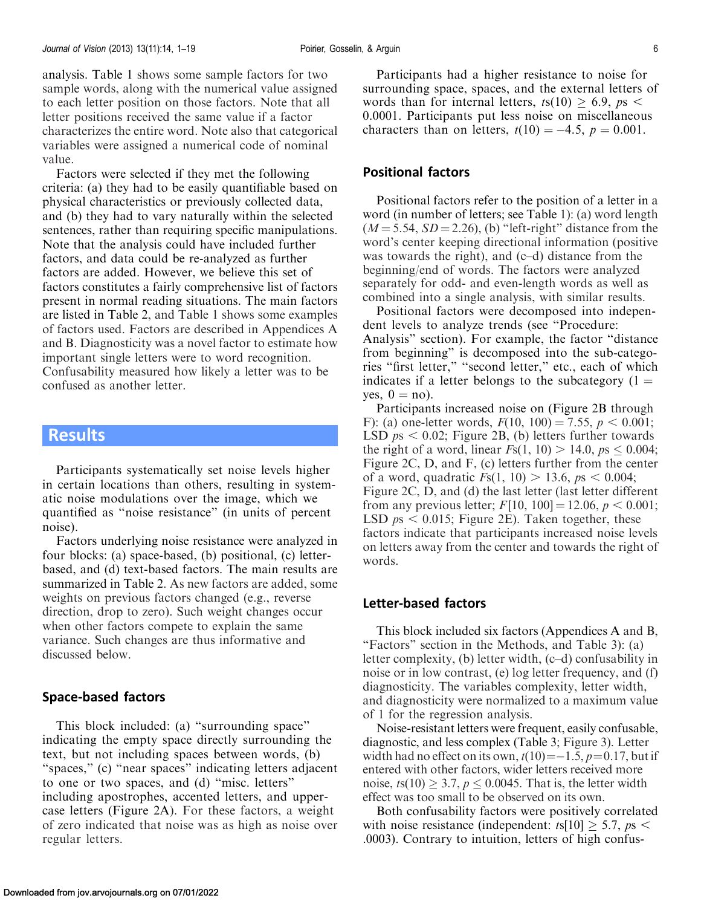analysis. [Table 1](#page-4-0) shows some sample factors for two sample words, along with the numerical value assigned to each letter position on those factors. Note that all letter positions received the same value if a factor characterizes the entire word. Note also that categorical variables were assigned a numerical code of nominal value.

Factors were selected if they met the following criteria: (a) they had to be easily quantifiable based on physical characteristics or previously collected data, and (b) they had to vary naturally within the selected sentences, rather than requiring specific manipulations. Note that the analysis could have included further factors, and data could be re-analyzed as further factors are added. However, we believe this set of factors constitutes a fairly comprehensive list of factors present in normal reading situations. The main factors are listed in [Table 2](#page-4-0), and [Table 1](#page-4-0) shows some examples of factors used. Factors are described in [Appendices A](#page-14-0) and [B](#page-16-0). Diagnosticity was a novel factor to estimate how important single letters were to word recognition. Confusability measured how likely a letter was to be confused as another letter.

### Results

Participants systematically set noise levels higher in certain locations than others, resulting in systematic noise modulations over the image, which we quantified as ''noise resistance'' (in units of percent noise).

Factors underlying noise resistance were analyzed in four blocks: (a) space-based, (b) positional, (c) letterbased, and (d) text-based factors. The main results are summarized in [Table 2.](#page-4-0) As new factors are added, some weights on previous factors changed (e.g., reverse direction, drop to zero). Such weight changes occur when other factors compete to explain the same variance. Such changes are thus informative and discussed below.

#### Space-based factors

This block included: (a) ''surrounding space'' indicating the empty space directly surrounding the text, but not including spaces between words, (b) "spaces," (c) "near spaces" indicating letters adjacent to one or two spaces, and (d) ''misc. letters'' including apostrophes, accented letters, and uppercase letters [\(Figure 2A](#page-3-0)). For these factors, a weight of zero indicated that noise was as high as noise over regular letters.

Participants had a higher resistance to noise for surrounding space, spaces, and the external letters of words than for internal letters,  $ts(10) \ge 6.9$ ,  $ps <$ 0.0001. Participants put less noise on miscellaneous characters than on letters,  $t(10) = -4.5$ ,  $p = 0.001$ .

#### Positional factors

Positional factors refer to the position of a letter in a word (in number of letters; see [Table 1\)](#page-4-0): (a) word length  $(M=5.54, SD=2.26)$ , (b) "left-right" distance from the word's center keeping directional information (positive was towards the right), and  $(c-d)$  distance from the beginning/end of words. The factors were analyzed separately for odd- and even-length words as well as combined into a single analysis, with similar results.

Positional factors were decomposed into independent levels to analyze trends (see ''Procedure: Analysis'' section). For example, the factor ''distance from beginning'' is decomposed into the sub-categories "first letter," "second letter," etc., each of which indicates if a letter belongs to the subcategory  $(1 =$ yes,  $0 = no$ ).

Participants increased noise on ([Figure 2B](#page-3-0) through [F](#page-3-0)): (a) one-letter words,  $F(10, 100) = 7.55$ ,  $p < 0.001$ ; LSD  $ps < 0.02$ ; [Figure 2B](#page-3-0), (b) letters further towards the right of a word, linear  $Fs(1, 10) > 14.0$ ,  $ps \le 0.004$ ; [Figure 2C](#page-3-0), [D,](#page-3-0) and [F,](#page-3-0) (c) letters further from the center of a word, quadratic  $Fs(1, 10) > 13.6$ ,  $ps < 0.004$ ; [Figure 2C](#page-3-0), [D,](#page-3-0) and (d) the last letter (last letter different from any previous letter;  $F[10, 100] = 12.06, p < 0.001$ ; LSD  $ps < 0.015$ ; [Figure 2E\)](#page-3-0). Taken together, these factors indicate that participants increased noise levels on letters away from the center and towards the right of words.

#### Letter-based factors

This block included six factors ([Appendices A](#page-14-0) and [B](#page-16-0), "Factors" section in the Methods, and [Table 3](#page-6-0)): (a) letter complexity, (b) letter width, (c–d) confusability in noise or in low contrast, (e) log letter frequency, and (f) diagnosticity. The variables complexity, letter width, and diagnosticity were normalized to a maximum value of 1 for the regression analysis.

Noise-resistant letters were frequent, easily confusable, diagnostic, and less complex [\(Table 3](#page-6-0); [Figure 3](#page-6-0)). Letter width had no effect on its own,  $t(10) = -1.5$ ,  $p = 0.17$ , but if entered with other factors, wider letters received more noise,  $ts(10) \geq 3.7$ ,  $p \leq 0.0045$ . That is, the letter width effect was too small to be observed on its own.

Both confusability factors were positively correlated with noise resistance (independent:  $t s[10] \geq 5.7$ ,  $p s <$ .0003). Contrary to intuition, letters of high confus-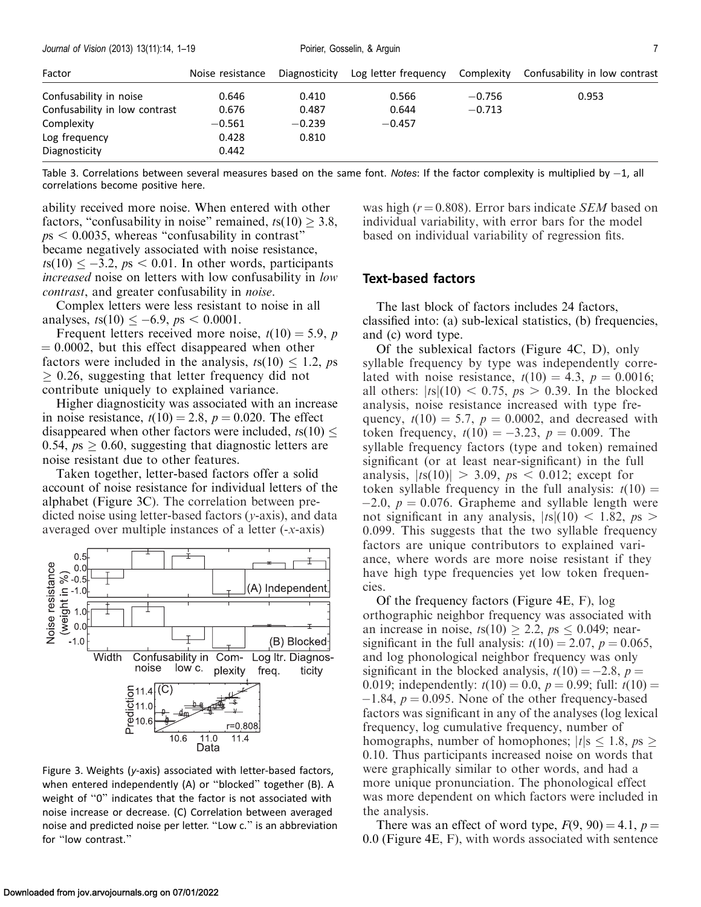<span id="page-6-0"></span>

| Factor                        | Noise resistance | Diagnosticity | Log letter frequency | Complexity | Confusability in low contrast |
|-------------------------------|------------------|---------------|----------------------|------------|-------------------------------|
| Confusability in noise        | 0.646            | 0.410         | 0.566                | $-0.756$   | 0.953                         |
| Confusability in low contrast | 0.676            | 0.487         | 0.644                | $-0.713$   |                               |
| Complexity                    | $-0.561$         | $-0.239$      | $-0.457$             |            |                               |
| Log frequency                 | 0.428            | 0.810         |                      |            |                               |
| Diagnosticity                 | 0.442            |               |                      |            |                               |

Table 3. Correlations between several measures based on the same font. Notes: If the factor complexity is multiplied by  $-1$ , all correlations become positive here.

ability received more noise. When entered with other factors, "confusability in noise" remained,  $ts(10) > 3.8$ ,  $ps < 0.0035$ , whereas "confusability in contrast" became negatively associated with noise resistance,  $t\text{s}(10) \leq -3.2$ ,  $p\text{s} < 0.01$ . In other words, participants increased noise on letters with low confusability in low contrast, and greater confusability in noise.

Complex letters were less resistant to noise in all analyses,  $t s(10) \le -6.9$ ,  $p s < 0.0001$ .

Frequent letters received more noise,  $t(10) = 5.9$ , p  $= 0.0002$ , but this effect disappeared when other factors were included in the analysis,  $ts(10) < 1.2$ , ps  $\geq$  0.26, suggesting that letter frequency did not contribute uniquely to explained variance.

Higher diagnosticity was associated with an increase in noise resistance,  $t(10) = 2.8$ ,  $p = 0.020$ . The effect disappeared when other factors were included,  $ts(10) \le$ 0.54,  $ps \geq 0.60$ , suggesting that diagnostic letters are noise resistant due to other features.

Taken together, letter-based factors offer a solid account of noise resistance for individual letters of the alphabet (Figure 3C). The correlation between predicted noise using letter-based factors  $(y\text{-axis})$ , and data averaged over multiple instances of a letter (-x-axis)



Figure 3. Weights (y-axis) associated with letter-based factors, when entered independently (A) or "blocked" together (B). A weight of "0" indicates that the factor is not associated with noise increase or decrease. (C) Correlation between averaged noise and predicted noise per letter. ''Low c.'' is an abbreviation for "low contrast."

was high ( $r = 0.808$ ). Error bars indicate *SEM* based on individual variability, with error bars for the model based on individual variability of regression fits.

#### Text-based factors

The last block of factors includes 24 factors, classified into: (a) sub-lexical statistics, (b) frequencies, and (c) word type.

Of the sublexical factors [\(Figure 4C](#page-7-0), [D](#page-7-0)), only syllable frequency by type was independently correlated with noise resistance,  $t(10) = 4.3$ ,  $p = 0.0016$ ; all others:  $|ts|(10) < 0.75$ ,  $ps > 0.39$ . In the blocked analysis, noise resistance increased with type frequency,  $t(10) = 5.7$ ,  $p = 0.0002$ , and decreased with token frequency,  $t(10) = -3.23$ ,  $p = 0.009$ . The syllable frequency factors (type and token) remained significant (or at least near-significant) in the full analysis,  $|ts(10)| > 3.09$ ,  $ps < 0.012$ ; except for token syllable frequency in the full analysis:  $t(10) =$  $-2.0, p = 0.076$ . Grapheme and syllable length were not significant in any analysis,  $|ts|(10) < 1.82$ ,  $ps >$ 0.099. This suggests that the two syllable frequency factors are unique contributors to explained variance, where words are more noise resistant if they have high type frequencies yet low token frequencies.

Of the frequency factors ([Figure 4E, F\)](#page-7-0), log orthographic neighbor frequency was associated with an increase in noise,  $ts(10) \ge 2.2$ ,  $ps \le 0.049$ ; nearsignificant in the full analysis:  $t(10) = 2.07$ ,  $p = 0.065$ , and log phonological neighbor frequency was only significant in the blocked analysis,  $t(10) = -2.8$ ,  $p =$ 0.019; independently:  $t(10) = 0.0$ ,  $p = 0.99$ ; full:  $t(10) =$  $-1.84$ ,  $p = 0.095$ . None of the other frequency-based factors was significant in any of the analyses (log lexical frequency, log cumulative frequency, number of homographs, number of homophones;  $|t|s \le 1.8$ ,  $p s \ge$ 0.10. Thus participants increased noise on words that were graphically similar to other words, and had a more unique pronunciation. The phonological effect was more dependent on which factors were included in the analysis.

There was an effect of word type,  $F(9, 90) = 4.1$ ,  $p =$ 0.0 [\(Figure 4E](#page-7-0), [F](#page-7-0)), with words associated with sentence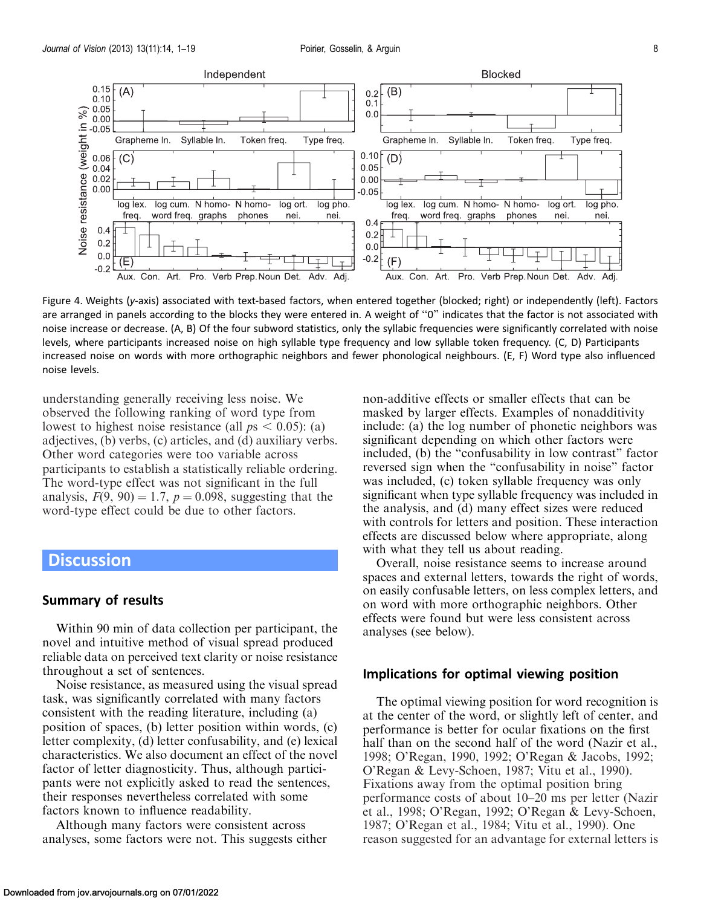<span id="page-7-0"></span>

Figure 4. Weights (y-axis) associated with text-based factors, when entered together (blocked; right) or independently (left). Factors are arranged in panels according to the blocks they were entered in. A weight of "0" indicates that the factor is not associated with noise increase or decrease. (A, B) Of the four subword statistics, only the syllabic frequencies were significantly correlated with noise levels, where participants increased noise on high syllable type frequency and low syllable token frequency. (C, D) Participants increased noise on words with more orthographic neighbors and fewer phonological neighbours. (E, F) Word type also influenced noise levels.

understanding generally receiving less noise. We observed the following ranking of word type from lowest to highest noise resistance (all  $ps < 0.05$ ): (a) adjectives, (b) verbs, (c) articles, and (d) auxiliary verbs. Other word categories were too variable across participants to establish a statistically reliable ordering. The word-type effect was not significant in the full analysis,  $F(9, 90) = 1.7$ ,  $p = 0.098$ , suggesting that the word-type effect could be due to other factors.

### **Discussion**

#### Summary of results

Within 90 min of data collection per participant, the novel and intuitive method of visual spread produced reliable data on perceived text clarity or noise resistance throughout a set of sentences.

Noise resistance, as measured using the visual spread task, was significantly correlated with many factors consistent with the reading literature, including (a) position of spaces, (b) letter position within words, (c) letter complexity, (d) letter confusability, and (e) lexical characteristics. We also document an effect of the novel factor of letter diagnosticity. Thus, although participants were not explicitly asked to read the sentences, their responses nevertheless correlated with some factors known to influence readability.

Although many factors were consistent across analyses, some factors were not. This suggests either

non-additive effects or smaller effects that can be masked by larger effects. Examples of nonadditivity include: (a) the log number of phonetic neighbors was significant depending on which other factors were included, (b) the ''confusability in low contrast'' factor reversed sign when the ''confusability in noise'' factor was included, (c) token syllable frequency was only significant when type syllable frequency was included in the analysis, and (d) many effect sizes were reduced with controls for letters and position. These interaction effects are discussed below where appropriate, along with what they tell us about reading.

Overall, noise resistance seems to increase around spaces and external letters, towards the right of words, on easily confusable letters, on less complex letters, and on word with more orthographic neighbors. Other effects were found but were less consistent across analyses (see below).

#### Implications for optimal viewing position

The optimal viewing position for word recognition is at the center of the word, or slightly left of center, and performance is better for ocular fixations on the first half than on the second half of the word (Nazir et al., [1998;](#page-12-0) O'Regan, [1990, 1992](#page-12-0); O'Regan & Jacobs, [1992;](#page-13-0) O'Regan & Levy-Schoen, [1987](#page-13-0); Vitu et al., [1990](#page-14-0)). Fixations away from the optimal position bring performance costs of about 10–20 ms per letter (Nazir et al., [1998;](#page-12-0) O'Regan, [1992;](#page-12-0) O'Regan & Levy-Schoen, [1987;](#page-13-0) O'Regan et al., [1984;](#page-13-0) Vitu et al., [1990](#page-14-0)). One reason suggested for an advantage for external letters is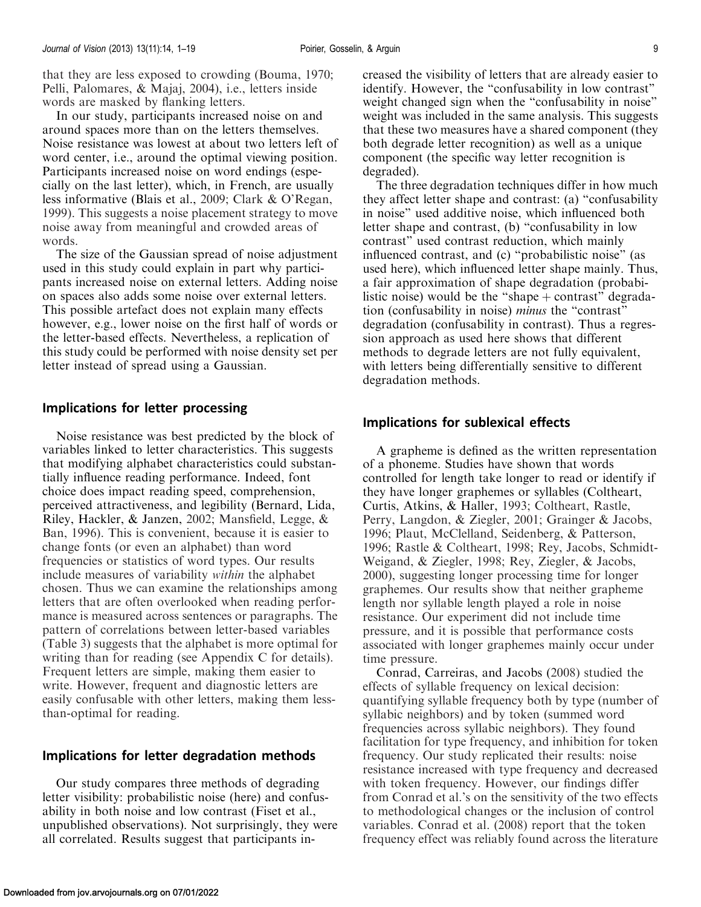that they are less exposed to crowding (Bouma, [1970;](#page-11-0) Pelli, Palomares, & Majaj, [2004\)](#page-13-0), i.e., letters inside words are masked by flanking letters.

In our study, participants increased noise on and around spaces more than on the letters themselves. Noise resistance was lowest at about two letters left of word center, i.e., around the optimal viewing position. Participants increased noise on word endings (especially on the last letter), which, in French, are usually less informative (Blais et al., [2009;](#page-11-0) Clark & O'Regan, [1999\)](#page-11-0). This suggests a noise placement strategy to move noise away from meaningful and crowded areas of words.

The size of the Gaussian spread of noise adjustment used in this study could explain in part why participants increased noise on external letters. Adding noise on spaces also adds some noise over external letters. This possible artefact does not explain many effects however, e.g., lower noise on the first half of words or the letter-based effects. Nevertheless, a replication of this study could be performed with noise density set per letter instead of spread using a Gaussian.

#### Implications for letter processing

Noise resistance was best predicted by the block of variables linked to letter characteristics. This suggests that modifying alphabet characteristics could substantially influence reading performance. Indeed, font choice does impact reading speed, comprehension, perceived attractiveness, and legibility (Bernard, Lida, Riley, Hackler, & Janzen, [2002;](#page-11-0) Mansfield, Legge, & Ban, [1996](#page-12-0)). This is convenient, because it is easier to change fonts (or even an alphabet) than word frequencies or statistics of word types. Our results include measures of variability within the alphabet chosen. Thus we can examine the relationships among letters that are often overlooked when reading performance is measured across sentences or paragraphs. The pattern of correlations between letter-based variables ([Table 3\)](#page-6-0) suggests that the alphabet is more optimal for writing than for reading (see [Appendix C](#page-16-0) for details). Frequent letters are simple, making them easier to write. However, frequent and diagnostic letters are easily confusable with other letters, making them lessthan-optimal for reading.

#### Implications for letter degradation methods

Our study compares three methods of degrading letter visibility: probabilistic noise (here) and confusability in both noise and low contrast (Fiset et al., unpublished observations). Not surprisingly, they were all correlated. Results suggest that participants increased the visibility of letters that are already easier to identify. However, the "confusability in low contrast" weight changed sign when the "confusability in noise" weight was included in the same analysis. This suggests that these two measures have a shared component (they both degrade letter recognition) as well as a unique component (the specific way letter recognition is degraded).

The three degradation techniques differ in how much they affect letter shape and contrast: (a) ''confusability in noise'' used additive noise, which influenced both letter shape and contrast, (b) ''confusability in low contrast'' used contrast reduction, which mainly influenced contrast, and (c) ''probabilistic noise'' (as used here), which influenced letter shape mainly. Thus, a fair approximation of shape degradation (probabilistic noise) would be the "shape  $+$  contrast" degradation (confusability in noise) minus the ''contrast'' degradation (confusability in contrast). Thus a regression approach as used here shows that different methods to degrade letters are not fully equivalent, with letters being differentially sensitive to different degradation methods.

#### Implications for sublexical effects

A grapheme is defined as the written representation of a phoneme. Studies have shown that words controlled for length take longer to read or identify if they have longer graphemes or syllables (Coltheart, Curtis, Atkins, & Haller, [1993;](#page-11-0) Coltheart, Rastle, Perry, Langdon, & Ziegler, [2001](#page-11-0); Grainger & Jacobs, [1996;](#page-12-0) Plaut, McClelland, Seidenberg, & Patterson, [1996;](#page-13-0) Rastle & Coltheart, [1998](#page-13-0); Rey, Jacobs, Schmidt-Weigand, & Ziegler, [1998](#page-13-0); Rey, Ziegler, & Jacobs, [2000\)](#page-13-0), suggesting longer processing time for longer graphemes. Our results show that neither grapheme length nor syllable length played a role in noise resistance. Our experiment did not include time pressure, and it is possible that performance costs associated with longer graphemes mainly occur under time pressure.

Conrad, Carreiras, and Jacobs [\(2008](#page-11-0)) studied the effects of syllable frequency on lexical decision: quantifying syllable frequency both by type (number of syllabic neighbors) and by token (summed word frequencies across syllabic neighbors). They found facilitation for type frequency, and inhibition for token frequency. Our study replicated their results: noise resistance increased with type frequency and decreased with token frequency. However, our findings differ from Conrad et al.'s on the sensitivity of the two effects to methodological changes or the inclusion of control variables. Conrad et al. [\(2008](#page-11-0)) report that the token frequency effect was reliably found across the literature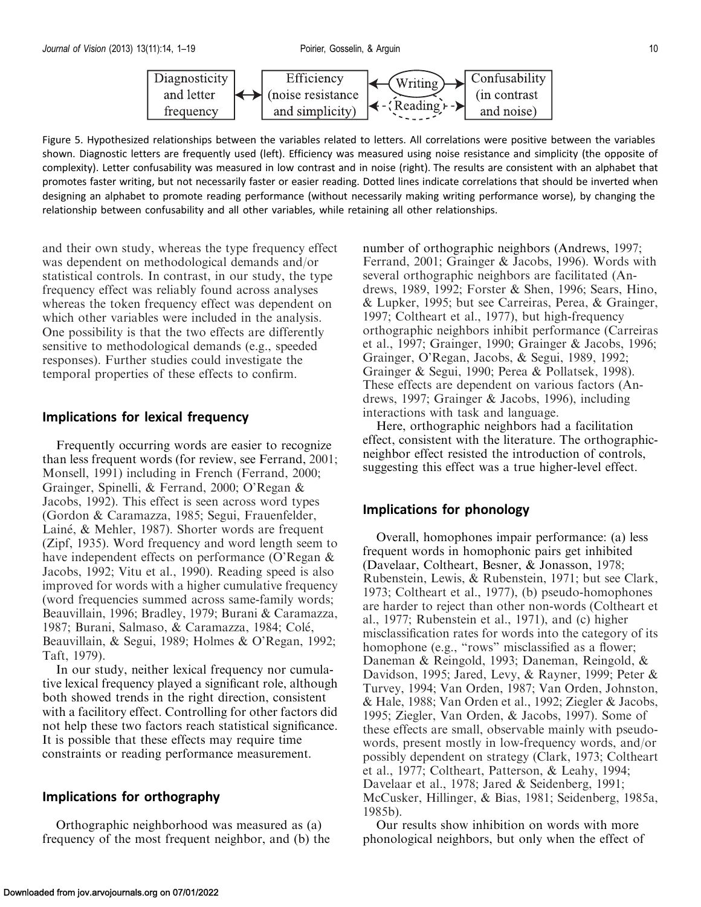

Figure 5. Hypothesized relationships between the variables related to letters. All correlations were positive between the variables shown. Diagnostic letters are frequently used (left). Efficiency was measured using noise resistance and simplicity (the opposite of complexity). Letter confusability was measured in low contrast and in noise (right). The results are consistent with an alphabet that promotes faster writing, but not necessarily faster or easier reading. Dotted lines indicate correlations that should be inverted when designing an alphabet to promote reading performance (without necessarily making writing performance worse), by changing the relationship between confusability and all other variables, while retaining all other relationships.

and their own study, whereas the type frequency effect was dependent on methodological demands and/or statistical controls. In contrast, in our study, the type frequency effect was reliably found across analyses whereas the token frequency effect was dependent on which other variables were included in the analysis. One possibility is that the two effects are differently sensitive to methodological demands (e.g., speeded responses). Further studies could investigate the temporal properties of these effects to confirm.

#### Implications for lexical frequency

Frequently occurring words are easier to recognize than less frequent words (for review, see Ferrand, [2001](#page-12-0); Monsell, [1991](#page-12-0)) including in French (Ferrand, [2000](#page-11-0); Grainger, Spinelli, & Ferrand, [2000;](#page-11-0) O'Regan & Jacobs, [1992\)](#page-13-0). This effect is seen across word types (Gordon & Caramazza, [1985;](#page-12-0) Segui, Frauenfelder, Lainé, & Mehler, [1987\)](#page-13-0). Shorter words are frequent (Zipf, [1935\)](#page-14-0). Word frequency and word length seem to have independent effects on performance (O'Regan & Jacobs, [1992;](#page-13-0) Vitu et al., [1990\)](#page-14-0). Reading speed is also improved for words with a higher cumulative frequency (word frequencies summed across same-family words; Beauvillain, [1996](#page-11-0); Bradley, [1979](#page-11-0); Burani & Caramazza, [1987;](#page-11-0) Burani, Salmaso, & Caramazza, [1984](#page-11-0); Colé, Beauvillain, & Segui, [1989](#page-11-0); Holmes & O'Regan, [1992](#page-12-0); Taft, [1979\)](#page-14-0).

In our study, neither lexical frequency nor cumulative lexical frequency played a significant role, although both showed trends in the right direction, consistent with a facilitory effect. Controlling for other factors did not help these two factors reach statistical significance. It is possible that these effects may require time constraints or reading performance measurement.

#### Implications for orthography

Orthographic neighborhood was measured as (a) frequency of the most frequent neighbor, and (b) the number of orthographic neighbors (Andrews, [1997](#page-11-0); Ferrand, [2001;](#page-12-0) Grainger & Jacobs, [1996\)](#page-12-0). Words with several orthographic neighbors are facilitated (Andrews, [1989,](#page-10-0) [1992](#page-11-0); Forster & Shen, [1996](#page-12-0); Sears, Hino, & Lupker, [1995;](#page-13-0) but see Carreiras, Perea, & Grainger, [1997;](#page-11-0) Coltheart et al., [1977\)](#page-11-0), but high-frequency orthographic neighbors inhibit performance (Carreiras et al., [1997;](#page-11-0) Grainger, [1990](#page-12-0); Grainger & Jacobs, [1996;](#page-12-0) Grainger, O'Regan, Jacobs, & Segui, [1989, 1992](#page-12-0); Grainger & Segui, [1990;](#page-12-0) Perea & Pollatsek, [1998](#page-13-0)). These effects are dependent on various factors (Andrews, [1997;](#page-11-0) Grainger & Jacobs, [1996](#page-12-0)), including interactions with task and language.

Here, orthographic neighbors had a facilitation effect, consistent with the literature. The orthographicneighbor effect resisted the introduction of controls, suggesting this effect was a true higher-level effect.

#### Implications for phonology

Overall, homophones impair performance: (a) less frequent words in homophonic pairs get inhibited (Davelaar, Coltheart, Besner, & Jonasson, [1978;](#page-11-0) Rubenstein, Lewis, & Rubenstein, [1971;](#page-13-0) but see Clark, [1973;](#page-11-0) Coltheart et al., [1977\)](#page-11-0), (b) pseudo-homophones are harder to reject than other non-words (Coltheart et al., [1977;](#page-11-0) Rubenstein et al., [1971](#page-13-0)), and (c) higher misclassification rates for words into the category of its homophone (e.g., "rows" misclassified as a flower; Daneman & Reingold, [1993;](#page-11-0) Daneman, Reingold, & Davidson, [1995;](#page-11-0) Jared, Levy, & Rayner, [1999;](#page-12-0) Peter & Turvey, [1994](#page-13-0); Van Orden, [1987;](#page-14-0) Van Orden, Johnston, & Hale, [1988](#page-14-0); Van Orden et al., [1992](#page-14-0); Ziegler & Jacobs, [1995;](#page-14-0) Ziegler, Van Orden, & Jacobs, [1997\)](#page-14-0). Some of these effects are small, observable mainly with pseudowords, present mostly in low-frequency words, and/or possibly dependent on strategy (Clark, [1973;](#page-11-0) Coltheart et al., [1977;](#page-11-0) Coltheart, Patterson, & Leahy, [1994;](#page-11-0) Davelaar et al., [1978](#page-11-0); Jared & Seidenberg, [1991;](#page-12-0) McCusker, Hillinger, & Bias, [1981](#page-12-0); Seidenberg, [1985a](#page-13-0), [1985b\)](#page-13-0).

Our results show inhibition on words with more phonological neighbors, but only when the effect of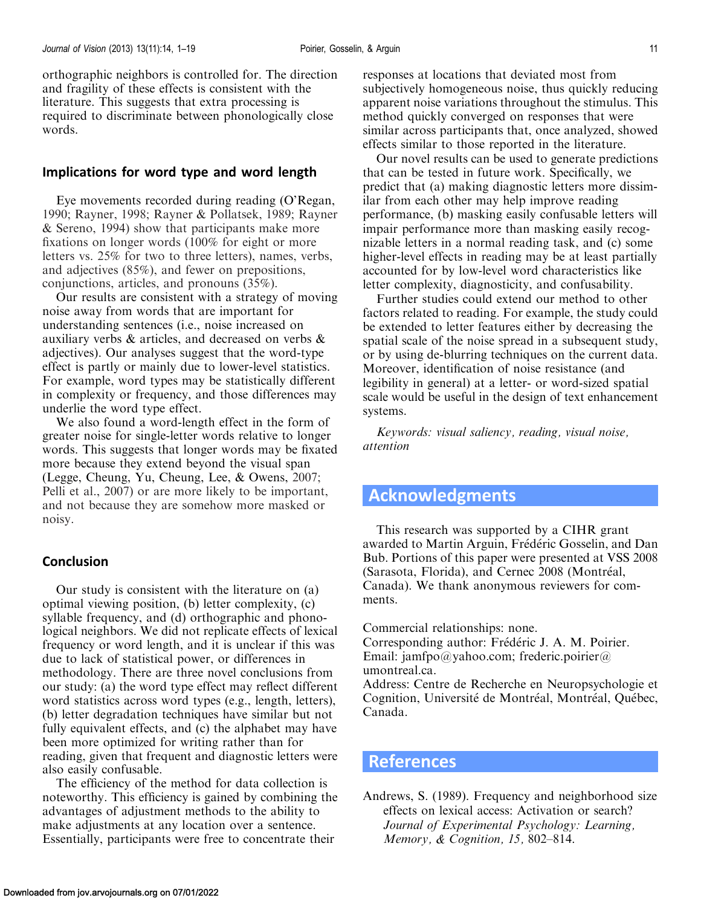<span id="page-10-0"></span>orthographic neighbors is controlled for. The direction and fragility of these effects is consistent with the literature. This suggests that extra processing is required to discriminate between phonologically close words.

#### Implications for word type and word length

Eye movements recorded during reading (O'Regan, [1990;](#page-12-0) Rayner, [1998;](#page-13-0) Rayner & Pollatsek, [1989](#page-13-0); Rayner & Sereno, [1994\)](#page-13-0) show that participants make more fixations on longer words (100% for eight or more letters vs. 25% for two to three letters), names, verbs, and adjectives (85%), and fewer on prepositions, conjunctions, articles, and pronouns (35%).

Our results are consistent with a strategy of moving noise away from words that are important for understanding sentences (i.e., noise increased on auxiliary verbs & articles, and decreased on verbs & adjectives). Our analyses suggest that the word-type effect is partly or mainly due to lower-level statistics. For example, word types may be statistically different in complexity or frequency, and those differences may underlie the word type effect.

We also found a word-length effect in the form of greater noise for single-letter words relative to longer words. This suggests that longer words may be fixated more because they extend beyond the visual span (Legge, Cheung, Yu, Cheung, Lee, & Owens, [2007](#page-12-0); Pelli et al., [2007\)](#page-13-0) or are more likely to be important, and not because they are somehow more masked or noisy.

#### Conclusion

Our study is consistent with the literature on (a) optimal viewing position, (b) letter complexity, (c) syllable frequency, and (d) orthographic and phonological neighbors. We did not replicate effects of lexical frequency or word length, and it is unclear if this was due to lack of statistical power, or differences in methodology. There are three novel conclusions from our study: (a) the word type effect may reflect different word statistics across word types (e.g., length, letters), (b) letter degradation techniques have similar but not fully equivalent effects, and (c) the alphabet may have been more optimized for writing rather than for reading, given that frequent and diagnostic letters were also easily confusable.

The efficiency of the method for data collection is noteworthy. This efficiency is gained by combining the advantages of adjustment methods to the ability to make adjustments at any location over a sentence. Essentially, participants were free to concentrate their

responses at locations that deviated most from subjectively homogeneous noise, thus quickly reducing apparent noise variations throughout the stimulus. This method quickly converged on responses that were similar across participants that, once analyzed, showed effects similar to those reported in the literature.

Our novel results can be used to generate predictions that can be tested in future work. Specifically, we predict that (a) making diagnostic letters more dissimilar from each other may help improve reading performance, (b) masking easily confusable letters will impair performance more than masking easily recognizable letters in a normal reading task, and (c) some higher-level effects in reading may be at least partially accounted for by low-level word characteristics like letter complexity, diagnosticity, and confusability.

Further studies could extend our method to other factors related to reading. For example, the study could be extended to letter features either by decreasing the spatial scale of the noise spread in a subsequent study, or by using de-blurring techniques on the current data. Moreover, identification of noise resistance (and legibility in general) at a letter- or word-sized spatial scale would be useful in the design of text enhancement systems.

Keywords: visual saliency, reading, visual noise, attention

### Acknowledgments

This research was supported by a CIHR grant awarded to Martin Arguin, Frédéric Gosselin, and Dan Bub. Portions of this paper were presented at VSS 2008 (Sarasota, Florida), and Cernec 2008 (Montréal, Canada). We thank anonymous reviewers for comments.

Commercial relationships: none.

Corresponding author: Frédéric J. A. M. Poirier. Email: jamfpo@yahoo.com; frederic.poirier@ umontreal.ca.

Address: Centre de Recherche en Neuropsychologie et Cognition, Université de Montréal, Montréal, Québec, Canada.

### **References**

Andrews, S. (1989). Frequency and neighborhood size effects on lexical access: Activation or search? Journal of Experimental Psychology: Learning, Memory, & Cognition, 15, 802-814.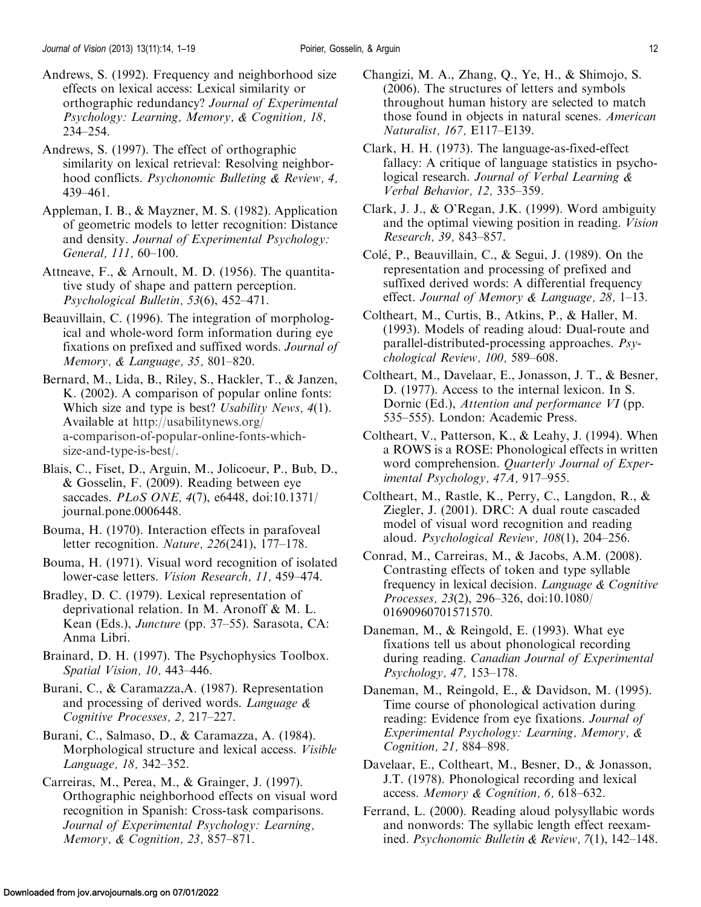- <span id="page-11-0"></span>Andrews, S. (1992). Frequency and neighborhood size effects on lexical access: Lexical similarity or orthographic redundancy? Journal of Experimental Psychology: Learning, Memory, & Cognition, 18, 234–254.
- Andrews, S. (1997). The effect of orthographic similarity on lexical retrieval: Resolving neighborhood conflicts. Psychonomic Bulleting & Review, 4, 439–461.
- Appleman, I. B., & Mayzner, M. S. (1982). Application of geometric models to letter recognition: Distance and density. Journal of Experimental Psychology: General, 111, 60–100.
- Attneave, F., & Arnoult, M. D. (1956). The quantitative study of shape and pattern perception. Psychological Bulletin, 53(6), 452–471.
- Beauvillain, C. (1996). The integration of morphological and whole-word form information during eye fixations on prefixed and suffixed words. Journal of Memory, & Language, 35, 801–820.
- Bernard, M., Lida, B., Riley, S., Hackler, T., & Janzen, K. (2002). A comparison of popular online fonts: Which size and type is best? Usability News, 4(1). Available at [http://usabilitynews.org/](http://usabilitynews.org/a-comparison-of-popular-online-fonts-which-size-and-type-is-best/) [a-comparison-of-popular-online-fonts-which](http://usabilitynews.org/a-comparison-of-popular-online-fonts-which-size-and-type-is-best/)[size-and-type-is-best/](http://usabilitynews.org/a-comparison-of-popular-online-fonts-which-size-and-type-is-best/).
- Blais, C., Fiset, D., Arguin, M., Jolicoeur, P., Bub, D., & Gosselin, F. (2009). Reading between eye saccades. PLoS ONE, 4(7), e6448, doi:10.1371/ journal.pone.0006448.
- Bouma, H. (1970). Interaction effects in parafoveal letter recognition. Nature, 226(241), 177–178.
- Bouma, H. (1971). Visual word recognition of isolated lower-case letters. Vision Research, 11, 459–474.
- Bradley, D. C. (1979). Lexical representation of deprivational relation. In M. Aronoff & M. L. Kean (Eds.), Juncture (pp. 37–55). Sarasota, CA: Anma Libri.
- Brainard, D. H. (1997). The Psychophysics Toolbox. Spatial Vision, 10, 443–446.
- Burani, C., & Caramazza,A. (1987). Representation and processing of derived words. Language & Cognitive Processes, 2, 217–227.
- Burani, C., Salmaso, D., & Caramazza, A. (1984). Morphological structure and lexical access. Visible Language, 18, 342–352.
- Carreiras, M., Perea, M., & Grainger, J. (1997). Orthographic neighborhood effects on visual word recognition in Spanish: Cross-task comparisons. Journal of Experimental Psychology: Learning, Memory, & Cognition, 23, 857–871.
- Changizi, M. A., Zhang, Q., Ye, H., & Shimojo, S. (2006). The structures of letters and symbols throughout human history are selected to match those found in objects in natural scenes. American Naturalist, 167, E117–E139.
- Clark, H. H. (1973). The language-as-fixed-effect fallacy: A critique of language statistics in psychological research. Journal of Verbal Learning & Verbal Behavior, 12, 335–359.
- Clark, J. J., & O'Regan, J.K. (1999). Word ambiguity and the optimal viewing position in reading. Vision Research, 39, 843–857.
- Colé, P., Beauvillain, C., & Segui, J. (1989). On the representation and processing of prefixed and suffixed derived words: A differential frequency effect. Journal of Memory & Language, 28, 1–13.
- Coltheart, M., Curtis, B., Atkins, P., & Haller, M. (1993). Models of reading aloud: Dual-route and parallel-distributed-processing approaches. Psychological Review, 100, 589–608.
- Coltheart, M., Davelaar, E., Jonasson, J. T., & Besner, D. (1977). Access to the internal lexicon. In S. Dornic (Ed.), *Attention and performance VI* (pp. 535–555). London: Academic Press.
- Coltheart, V., Patterson, K., & Leahy, J. (1994). When a ROWS is a ROSE: Phonological effects in written word comprehension. Quarterly Journal of Experimental Psychology, 47A, 917–955.
- Coltheart, M., Rastle, K., Perry, C., Langdon, R., & Ziegler, J. (2001). DRC: A dual route cascaded model of visual word recognition and reading aloud. Psychological Review, 108(1), 204–256.
- Conrad, M., Carreiras, M., & Jacobs, A.M. (2008). Contrasting effects of token and type syllable frequency in lexical decision. Language & Cognitive Processes, 23(2), 296–326, doi:10.1080/ 01690960701571570.
- Daneman, M., & Reingold, E. (1993). What eye fixations tell us about phonological recording during reading. Canadian Journal of Experimental Psychology, 47, 153–178.
- Daneman, M., Reingold, E., & Davidson, M. (1995). Time course of phonological activation during reading: Evidence from eye fixations. Journal of Experimental Psychology: Learning, Memory, & Cognition, 21, 884–898.
- Davelaar, E., Coltheart, M., Besner, D., & Jonasson, J.T. (1978). Phonological recording and lexical access. Memory & Cognition, 6, 618–632.
- Ferrand, L. (2000). Reading aloud polysyllabic words and nonwords: The syllabic length effect reexamined. Psychonomic Bulletin & Review, 7(1), 142–148.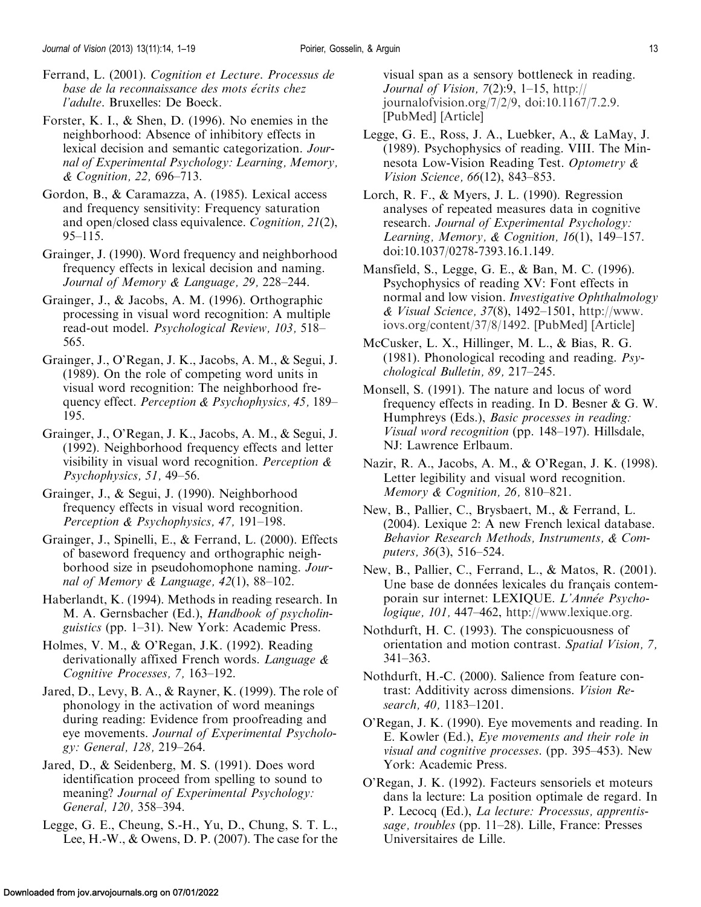- <span id="page-12-0"></span>Ferrand, L. (2001). Cognition et Lecture. Processus de base de la reconnaissance des mots écrits chez l'adulte. Bruxelles: De Boeck.
- Forster, K. I., & Shen, D. (1996). No enemies in the neighborhood: Absence of inhibitory effects in lexical decision and semantic categorization. Journal of Experimental Psychology: Learning, Memory, & Cognition, 22, 696–713.
- Gordon, B., & Caramazza, A. (1985). Lexical access and frequency sensitivity: Frequency saturation and open/closed class equivalence. Cognition, 21(2), 95–115.
- Grainger, J. (1990). Word frequency and neighborhood frequency effects in lexical decision and naming. Journal of Memory & Language, 29, 228–244.
- Grainger, J., & Jacobs, A. M. (1996). Orthographic processing in visual word recognition: A multiple read-out model. Psychological Review, 103, 518– 565.
- Grainger, J., O'Regan, J. K., Jacobs, A. M., & Segui, J. (1989). On the role of competing word units in visual word recognition: The neighborhood frequency effect. Perception & Psychophysics, 45, 189– 195.
- Grainger, J., O'Regan, J. K., Jacobs, A. M., & Segui, J. (1992). Neighborhood frequency effects and letter visibility in visual word recognition. Perception  $\&$ Psychophysics, 51, 49–56.
- Grainger, J., & Segui, J. (1990). Neighborhood frequency effects in visual word recognition. Perception & Psychophysics, 47, 191–198.
- Grainger, J., Spinelli, E., & Ferrand, L. (2000). Effects of baseword frequency and orthographic neighborhood size in pseudohomophone naming. Journal of Memory & Language,  $42(1)$ , 88-102.
- Haberlandt, K. (1994). Methods in reading research. In M. A. Gernsbacher (Ed.), Handbook of psycholinguistics (pp. 1–31). New York: Academic Press.
- Holmes, V. M., & O'Regan, J.K. (1992). Reading derivationally affixed French words. Language & Cognitive Processes, 7, 163–192.
- Jared, D., Levy, B. A., & Rayner, K. (1999). The role of phonology in the activation of word meanings during reading: Evidence from proofreading and eye movements. Journal of Experimental Psychology: General, 128, 219–264.
- Jared, D., & Seidenberg, M. S. (1991). Does word identification proceed from spelling to sound to meaning? Journal of Experimental Psychology: General, 120, 358–394.
- Legge, G. E., Cheung, S.-H., Yu, D., Chung, S. T. L., Lee, H.-W., & Owens, D. P. (2007). The case for the

visual span as a sensory bottleneck in reading. Journal of Vision, 7(2):9, 1–15, [http://](http://journalofvision.org/7/2/9) [journalofvision.org/7/2/9](http://journalofvision.org/7/2/9), doi:10.1167/7.2.9. [[PubMed](http://www.ncbi.nlm.nih.gov/pubmed/18217824)] [[Article\]](http://www.journalofvision.org/content/7/2/9.long)

- Legge, G. E., Ross, J. A., Luebker, A., & LaMay, J. (1989). Psychophysics of reading. VIII. The Minnesota Low-Vision Reading Test. Optometry & Vision Science, 66(12), 843–853.
- Lorch, R. F., & Myers, J. L. (1990). Regression analyses of repeated measures data in cognitive research. Journal of Experimental Psychology: Learning, Memory, & Cognition, 16(1), 149–157. doi:10.1037/0278-7393.16.1.149.
- Mansfield, S., Legge, G. E., & Ban, M. C. (1996). Psychophysics of reading XV: Font effects in normal and low vision. Investigative Ophthalmology & Visual Science, 37(8), 1492–1501, [http://www.](http://www.iovs.org/content/37/8/1492) [iovs.org/content/37/8/1492](http://www.iovs.org/content/37/8/1492). [[PubMed](http://www.ncbi.nlm.nih.gov/pubmed/8675391)] [[Article\]](http://www.iovs.org/content/37/8/1492.long)
- McCusker, L. X., Hillinger, M. L., & Bias, R. G. (1981). Phonological recoding and reading. Psychological Bulletin, 89, 217–245.
- Monsell, S. (1991). The nature and locus of word frequency effects in reading. In D. Besner & G. W. Humphreys (Eds.), Basic processes in reading: Visual word recognition (pp. 148–197). Hillsdale, NJ: Lawrence Erlbaum.
- Nazir, R. A., Jacobs, A. M., & O'Regan, J. K. (1998). Letter legibility and visual word recognition. Memory & Cognition, 26, 810–821.
- New, B., Pallier, C., Brysbaert, M., & Ferrand, L. (2004). Lexique 2: A new French lexical database. Behavior Research Methods, Instruments, & Computers, 36(3), 516–524.
- New, B., Pallier, C., Ferrand, L., & Matos, R. (2001). Une base de données lexicales du français contemporain sur internet: LEXIQUE. L'Année Psychologique, 101, 447–462, <http://www.lexique.org>.
- Nothdurft, H. C. (1993). The conspicuousness of orientation and motion contrast. Spatial Vision, 7, 341–363.
- Nothdurft, H.-C. (2000). Salience from feature contrast: Additivity across dimensions. Vision Research, 40, 1183–1201.
- O'Regan, J. K. (1990). Eye movements and reading. In E. Kowler (Ed.), Eye movements and their role in visual and cognitive processes. (pp. 395–453). New York: Academic Press.
- O'Regan, J. K. (1992). Facteurs sensoriels et moteurs dans la lecture: La position optimale de regard. In P. Lecocq (Ed.), La lecture: Processus, apprentissage, troubles (pp. 11–28). Lille, France: Presses Universitaires de Lille.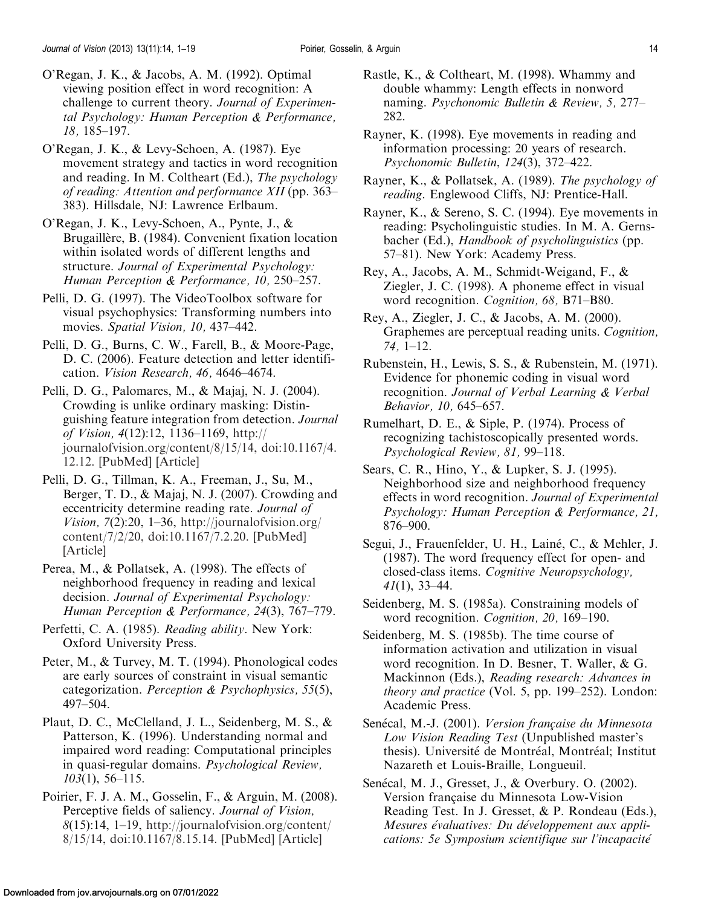- <span id="page-13-0"></span>O'Regan, J. K., & Jacobs, A. M. (1992). Optimal viewing position effect in word recognition: A challenge to current theory. Journal of Experimental Psychology: Human Perception & Performance, 18, 185–197.
- O'Regan, J. K., & Levy-Schoen, A. (1987). Eye movement strategy and tactics in word recognition and reading. In M. Coltheart (Ed.), The psychology of reading: Attention and performance XII (pp. 363– 383). Hillsdale, NJ: Lawrence Erlbaum.
- O'Regan, J. K., Levy-Schoen, A., Pynte, J., & Brugaillère, B. (1984). Convenient fixation location within isolated words of different lengths and structure. Journal of Experimental Psychology: Human Perception & Performance, 10, 250–257.
- Pelli, D. G. (1997). The VideoToolbox software for visual psychophysics: Transforming numbers into movies. Spatial Vision, 10, 437–442.
- Pelli, D. G., Burns, C. W., Farell, B., & Moore-Page, D. C. (2006). Feature detection and letter identification. Vision Research, 46, 4646–4674.
- Pelli, D. G., Palomares, M., & Majaj, N. J. (2004). Crowding is unlike ordinary masking: Distinguishing feature integration from detection. Journal of Vision, 4(12):12, 1136–1169, [http://](http://journalofvision.org/content/8/15/14) [journalofvision.org/content/8/15/14,](http://journalofvision.org/content/8/15/14) doi:10.1167/4. 12.12. [\[PubMed\]](http://www.ncbi.nlm.nih.gov/pubmed/15669917) [\[Article](http://www.journalofvision.org/content/4/12/12.long)]
- Pelli, D. G., Tillman, K. A., Freeman, J., Su, M., Berger, T. D., & Majaj, N. J. (2007). Crowding and eccentricity determine reading rate. Journal of Vision,  $7(2)$ :20, 1–36, [http://journalofvision.org/](http://journalofvision.org/content/7/2/20) [content/7/2/20,](http://journalofvision.org/content/7/2/20) doi:10.1167/7.2.20. [\[PubMed\]](http://www.ncbi.nlm.nih.gov/pubmed/18217835) [[Article\]](http://www.journalofvision.org/content/7/2/20.long)
- Perea, M., & Pollatsek, A. (1998). The effects of neighborhood frequency in reading and lexical decision. Journal of Experimental Psychology: Human Perception & Performance, 24(3), 767–779.
- Perfetti, C. A. (1985). Reading ability. New York: Oxford University Press.
- Peter, M., & Turvey, M. T. (1994). Phonological codes are early sources of constraint in visual semantic categorization. *Perception*  $\&$  *Psychophysics*, 55(5), 497–504.
- Plaut, D. C., McClelland, J. L., Seidenberg, M. S., & Patterson, K. (1996). Understanding normal and impaired word reading: Computational principles in quasi-regular domains. Psychological Review, 103(1), 56–115.
- Poirier, F. J. A. M., Gosselin, F., & Arguin, M. (2008). Perceptive fields of saliency. Journal of Vision,  $8(15):14$ , 1–19, [http://journalofvision.org/content/](http://journalofvision.org/content/8/15/14) [8/15/14,](http://journalofvision.org/content/8/15/14) doi:10.1167/8.15.14. [[PubMed\]](http://www.ncbi.nlm.nih.gov/pubmed/19146298) [[Article](http://www.journalofvision.org/content/8/15/14.long)]
- Rastle, K., & Coltheart, M. (1998). Whammy and double whammy: Length effects in nonword naming. Psychonomic Bulletin & Review, 5, 277– 282.
- Rayner, K. (1998). Eye movements in reading and information processing: 20 years of research. Psychonomic Bulletin, 124(3), 372–422.
- Rayner, K., & Pollatsek, A. (1989). The psychology of reading. Englewood Cliffs, NJ: Prentice-Hall.
- Rayner, K., & Sereno, S. C. (1994). Eye movements in reading: Psycholinguistic studies. In M. A. Gernsbacher (Ed.), Handbook of psycholinguistics (pp. 57–81). New York: Academy Press.
- Rey, A., Jacobs, A. M., Schmidt-Weigand, F., & Ziegler, J. C. (1998). A phoneme effect in visual word recognition. *Cognition*, 68, B71–B80.
- Rey, A., Ziegler, J. C., & Jacobs, A. M. (2000). Graphemes are perceptual reading units. Cognition, 74, 1–12.
- Rubenstein, H., Lewis, S. S., & Rubenstein, M. (1971). Evidence for phonemic coding in visual word recognition. Journal of Verbal Learning & Verbal Behavior, 10, 645–657.
- Rumelhart, D. E., & Siple, P. (1974). Process of recognizing tachistoscopically presented words. Psychological Review, 81, 99–118.
- Sears, C. R., Hino, Y., & Lupker, S. J. (1995). Neighborhood size and neighborhood frequency effects in word recognition. Journal of Experimental Psychology: Human Perception & Performance, 21, 876–900.
- Segui, J., Frauenfelder, U. H., Lainé, C., & Mehler, J. (1987). The word frequency effect for open- and closed-class items. Cognitive Neuropsychology,  $41(1)$ , 33–44.
- Seidenberg, M. S. (1985a). Constraining models of word recognition. Cognition, 20, 169–190.
- Seidenberg, M. S. (1985b). The time course of information activation and utilization in visual word recognition. In D. Besner, T. Waller, & G. Mackinnon (Eds.), Reading research: Advances in theory and practice (Vol. 5, pp. 199–252). London: Academic Press.
- Senécal, M.-J. (2001). Version française du Minnesota Low Vision Reading Test (Unpublished master's thesis). Université de Montréal, Montréal; Institut Nazareth et Louis-Braille, Longueuil.
- Senécal, M. J., Gresset, J., & Overbury. O. (2002). Version française du Minnesota Low-Vision Reading Test. In J. Gresset, & P. Rondeau (Eds.), Mesures évaluatives: Du développement aux applications: 5e Symposium scientifique sur l'incapacite´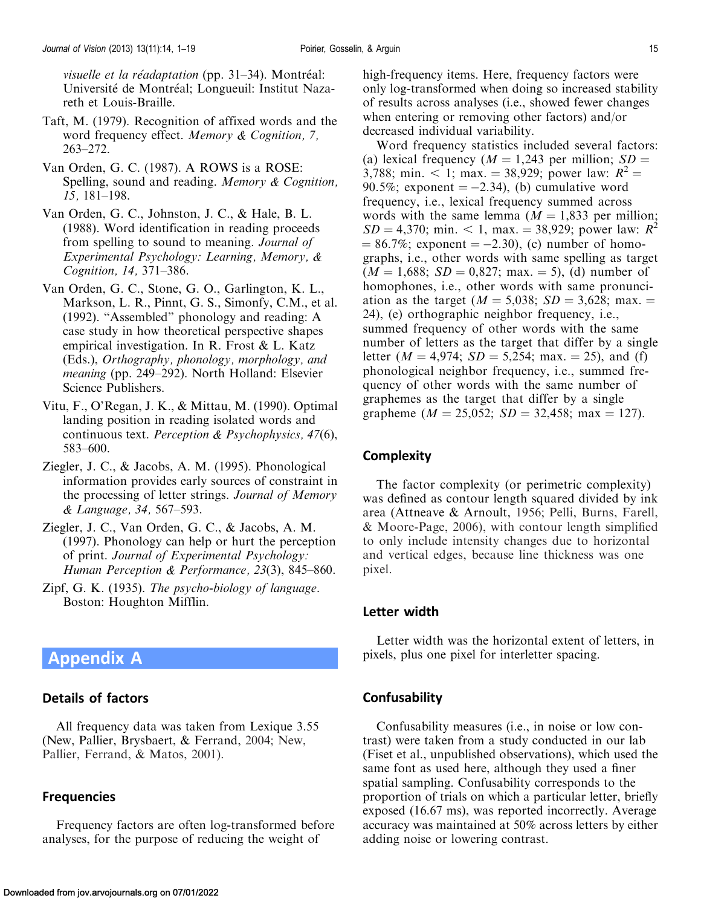<span id="page-14-0"></span>visuelle et la réadaptation (pp. 31–34). Montréal: Université de Montréal; Longueuil: Institut Nazareth et Louis-Braille.

- Taft, M. (1979). Recognition of affixed words and the word frequency effect. Memory & Cognition, 7, 263–272.
- Van Orden, G. C. (1987). A ROWS is a ROSE: Spelling, sound and reading. Memory & Cognition, 15, 181–198.
- Van Orden, G. C., Johnston, J. C., & Hale, B. L. (1988). Word identification in reading proceeds from spelling to sound to meaning. Journal of Experimental Psychology: Learning, Memory, & Cognition, 14, 371–386.
- Van Orden, G. C., Stone, G. O., Garlington, K. L., Markson, L. R., Pinnt, G. S., Simonfy, C.M., et al. (1992). ''Assembled'' phonology and reading: A case study in how theoretical perspective shapes empirical investigation. In R. Frost & L. Katz (Eds.), Orthography, phonology, morphology, and meaning (pp. 249–292). North Holland: Elsevier Science Publishers.
- Vitu, F., O'Regan, J. K., & Mittau, M. (1990). Optimal landing position in reading isolated words and continuous text. *Perception & Psychophysics*,  $47(6)$ , 583–600.
- Ziegler, J. C., & Jacobs, A. M. (1995). Phonological information provides early sources of constraint in the processing of letter strings. Journal of Memory & Language, 34, 567–593.
- Ziegler, J. C., Van Orden, G. C., & Jacobs, A. M. (1997). Phonology can help or hurt the perception of print. Journal of Experimental Psychology: Human Perception & Performance, 23(3), 845–860.
- Zipf, G. K. (1935). The psycho-biology of language. Boston: Houghton Mifflin.

### Appendix A

#### Details of factors

All frequency data was taken from Lexique 3.55 (New, Pallier, Brysbaert, & Ferrand, [2004](#page-12-0); New, Pallier, Ferrand, & Matos, [2001](#page-12-0)).

#### Frequencies

Frequency factors are often log-transformed before analyses, for the purpose of reducing the weight of

high-frequency items. Here, frequency factors were only log-transformed when doing so increased stability of results across analyses (i.e., showed fewer changes when entering or removing other factors) and/or decreased individual variability.

Word frequency statistics included several factors: (a) lexical frequency ( $M = 1,243$  per million;  $SD =$ 3,788; min.  $\lt 1$ ; max. = 38,929; power law:  $R^2$  = 90.5%; exponent  $= -2.34$ ), (b) cumulative word frequency, i.e., lexical frequency summed across words with the same lemma ( $M = 1,833$  per million;  $SD = 4,370$ ; min. < 1, max. = 38,929; power law:  $R^2$  $= 86.7\%$ ; exponent  $= -2.30$ ), (c) number of homographs, i.e., other words with same spelling as target  $(M = 1,688; SD = 0,827; max. = 5)$ , (d) number of homophones, i.e., other words with same pronunciation as the target ( $M = 5,038$ ;  $SD = 3,628$ ; max. = 24), (e) orthographic neighbor frequency, i.e., summed frequency of other words with the same number of letters as the target that differ by a single letter ( $M = 4.974$ ;  $SD = 5.254$ ; max. = 25), and (f) phonological neighbor frequency, i.e., summed frequency of other words with the same number of graphemes as the target that differ by a single grapheme ( $M = 25,052$ ;  $SD = 32,458$ ; max = 127).

#### **Complexity**

The factor complexity (or perimetric complexity) was defined as contour length squared divided by ink area (Attneave & Arnoult, [1956;](#page-11-0) Pelli, Burns, Farell, & Moore-Page, [2006](#page-13-0)), with contour length simplified to only include intensity changes due to horizontal and vertical edges, because line thickness was one pixel.

#### Letter width

Letter width was the horizontal extent of letters, in pixels, plus one pixel for interletter spacing.

#### **Confusability**

Confusability measures (i.e., in noise or low contrast) were taken from a study conducted in our lab (Fiset et al., unpublished observations), which used the same font as used here, although they used a finer spatial sampling. Confusability corresponds to the proportion of trials on which a particular letter, briefly exposed (16.67 ms), was reported incorrectly. Average accuracy was maintained at 50% across letters by either adding noise or lowering contrast.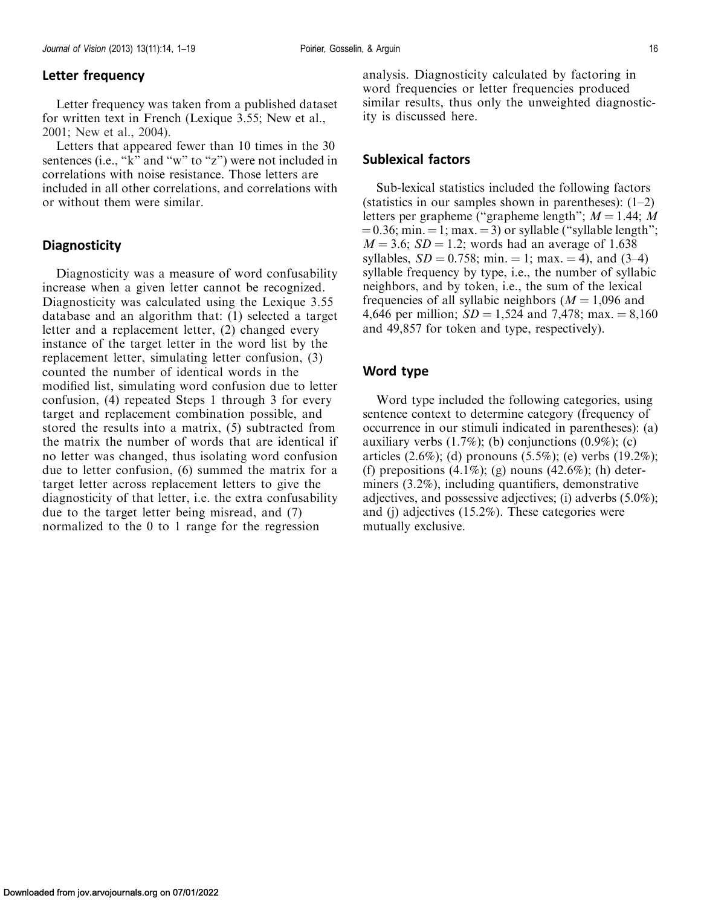Letter frequency was taken from a published dataset for written text in French (Lexique 3.55; New et al., [2001;](#page-12-0) New et al., [2004\)](#page-12-0).

Letters that appeared fewer than 10 times in the 30 sentences (i.e., "k" and "w" to "z") were not included in correlations with noise resistance. Those letters are included in all other correlations, and correlations with or without them were similar.

### **Diagnosticity**

Diagnosticity was a measure of word confusability increase when a given letter cannot be recognized. Diagnosticity was calculated using the Lexique 3.55 database and an algorithm that: (1) selected a target letter and a replacement letter, (2) changed every instance of the target letter in the word list by the replacement letter, simulating letter confusion, (3) counted the number of identical words in the modified list, simulating word confusion due to letter confusion, (4) repeated Steps 1 through 3 for every target and replacement combination possible, and stored the results into a matrix, (5) subtracted from the matrix the number of words that are identical if no letter was changed, thus isolating word confusion due to letter confusion, (6) summed the matrix for a target letter across replacement letters to give the diagnosticity of that letter, i.e. the extra confusability due to the target letter being misread, and (7) normalized to the 0 to 1 range for the regression

analysis. Diagnosticity calculated by factoring in word frequencies or letter frequencies produced similar results, thus only the unweighted diagnosticity is discussed here.

### Sublexical factors

Sub-lexical statistics included the following factors (statistics in our samples shown in parentheses):  $(1-2)$ letters per grapheme ("grapheme length";  $M = 1.44$ ; M  $(0.36; \text{min.} = 1; \text{max.} = 3)$  or syllable ("syllable length";  $M = 3.6$ ;  $SD = 1.2$ ; words had an average of 1.638 syllables,  $SD = 0.758$ ; min. = 1; max. = 4), and (3–4) syllable frequency by type, i.e., the number of syllabic neighbors, and by token, i.e., the sum of the lexical frequencies of all syllabic neighbors ( $M = 1,096$  and 4,646 per million;  $SD = 1,524$  and 7,478; max.  $= 8,160$ and 49,857 for token and type, respectively).

#### Word type

Word type included the following categories, using sentence context to determine category (frequency of occurrence in our stimuli indicated in parentheses): (a) auxiliary verbs  $(1.7\%)$ ; (b) conjunctions  $(0.9\%)$ ; (c) articles (2.6%); (d) pronouns (5.5%); (e) verbs (19.2%); (f) prepositions  $(4.1\%)$ ; (g) nouns  $(42.6\%)$ ; (h) determiners (3.2%), including quantifiers, demonstrative adjectives, and possessive adjectives; (i) adverbs (5.0%); and (j) adjectives (15.2%). These categories were mutually exclusive.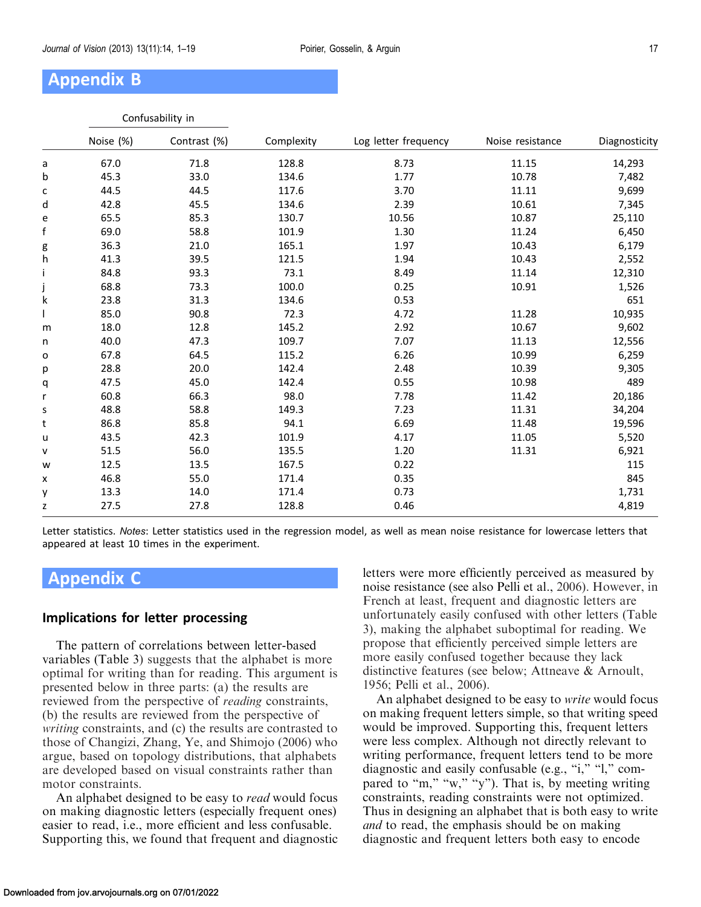Confusability in

### <span id="page-16-0"></span>Appendix B

|             | Comusability in |              |            |                      |                  |               |
|-------------|-----------------|--------------|------------|----------------------|------------------|---------------|
|             | Noise (%)       | Contrast (%) | Complexity | Log letter frequency | Noise resistance | Diagnosticity |
| a           | 67.0            | 71.8         | 128.8      | 8.73                 | 11.15            | 14,293        |
| b           | 45.3            | 33.0         | 134.6      | 1.77                 | 10.78            | 7,482         |
| с           | 44.5            | 44.5         | 117.6      | 3.70                 | 11.11            | 9,699         |
| d           | 42.8            | 45.5         | 134.6      | 2.39                 | 10.61            | 7,345         |
| e           | 65.5            | 85.3         | 130.7      | 10.56                | 10.87            | 25,110        |
| $\mathsf f$ | 69.0            | 58.8         | 101.9      | 1.30                 | 11.24            | 6,450         |
| g           | 36.3            | 21.0         | 165.1      | 1.97                 | 10.43            | 6,179         |
| h           | 41.3            | 39.5         | 121.5      | 1.94                 | 10.43            | 2,552         |
| j.          | 84.8            | 93.3         | 73.1       | 8.49                 | 11.14            | 12,310        |
|             | 68.8            | 73.3         | 100.0      | 0.25                 | 10.91            | 1,526         |
| k           | 23.8            | 31.3         | 134.6      | 0.53                 |                  | 651           |
|             | 85.0            | 90.8         | 72.3       | 4.72                 | 11.28            | 10,935        |
| m           | 18.0            | 12.8         | 145.2      | 2.92                 | 10.67            | 9,602         |
| n           | 40.0            | 47.3         | 109.7      | 7.07                 | 11.13            | 12,556        |
| o           | 67.8            | 64.5         | 115.2      | 6.26                 | 10.99            | 6,259         |
| р           | 28.8            | 20.0         | 142.4      | 2.48                 | 10.39            | 9,305         |
| q           | 47.5            | 45.0         | 142.4      | 0.55                 | 10.98            | 489           |
| r           | 60.8            | 66.3         | 98.0       | 7.78                 | 11.42            | 20,186        |
| S           | 48.8            | 58.8         | 149.3      | 7.23                 | 11.31            | 34,204        |
| t           | 86.8            | 85.8         | 94.1       | 6.69                 | 11.48            | 19,596        |
| u           | 43.5            | 42.3         | 101.9      | 4.17                 | 11.05            | 5,520         |
| v           | 51.5            | 56.0         | 135.5      | 1.20                 | 11.31            | 6,921         |
| W           | 12.5            | 13.5         | 167.5      | 0.22                 |                  | 115           |
| x           | 46.8            | 55.0         | 171.4      | 0.35                 |                  | 845           |
| у           | 13.3            | 14.0         | 171.4      | 0.73                 |                  | 1,731         |
| z           | 27.5            | 27.8         | 128.8      | 0.46                 |                  | 4,819         |

Letter statistics. Notes: Letter statistics used in the regression model, as well as mean noise resistance for lowercase letters that appeared at least 10 times in the experiment.

### Appendix C

### Implications for letter processing

The pattern of correlations between letter-based variables ([Table 3\)](#page-6-0) suggests that the alphabet is more optimal for writing than for reading. This argument is presented below in three parts: (a) the results are reviewed from the perspective of reading constraints, (b) the results are reviewed from the perspective of writing constraints, and (c) the results are contrasted to those of Changizi, Zhang, Ye, and Shimojo ([2006](#page-11-0)) who argue, based on topology distributions, that alphabets are developed based on visual constraints rather than motor constraints.

An alphabet designed to be easy to *read* would focus on making diagnostic letters (especially frequent ones) easier to read, i.e., more efficient and less confusable. Supporting this, we found that frequent and diagnostic letters were more efficiently perceived as measured by noise resistance (see also Pelli et al., [2006](#page-13-0)). However, in French at least, frequent and diagnostic letters are unfortunately easily confused with other letters ([Table](#page-6-0) [3](#page-6-0)), making the alphabet suboptimal for reading. We propose that efficiently perceived simple letters are more easily confused together because they lack distinctive features (see below; Attneave & Arnoult, [1956;](#page-11-0) Pelli et al., [2006](#page-13-0)).

An alphabet designed to be easy to write would focus on making frequent letters simple, so that writing speed would be improved. Supporting this, frequent letters were less complex. Although not directly relevant to writing performance, frequent letters tend to be more diagnostic and easily confusable (e.g., "i," "l," compared to "m," "w," "y"). That is, by meeting writing constraints, reading constraints were not optimized. Thus in designing an alphabet that is both easy to write and to read, the emphasis should be on making diagnostic and frequent letters both easy to encode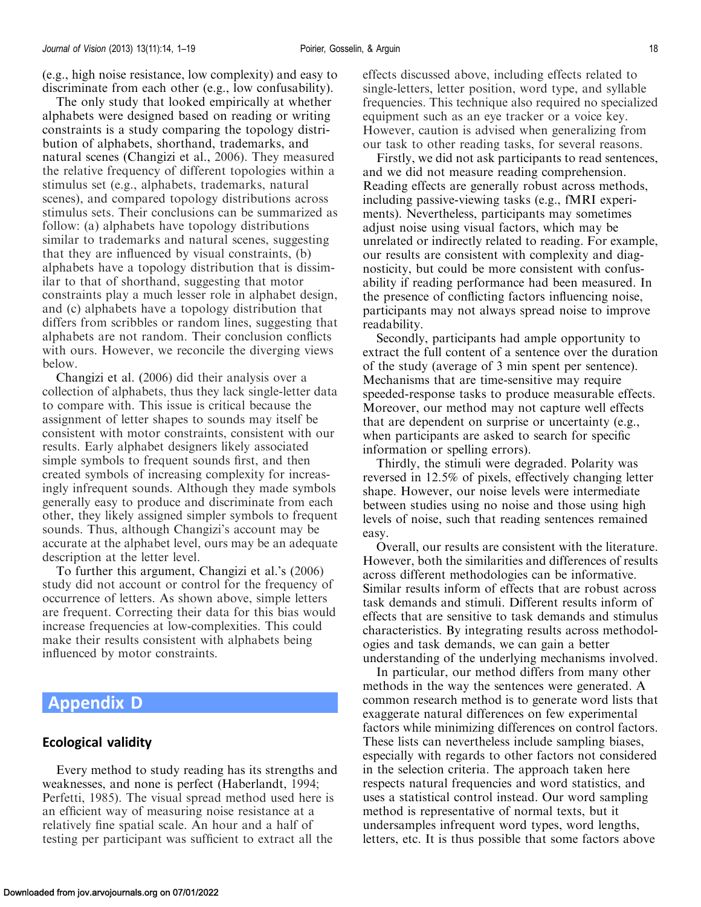<span id="page-17-0"></span>(e.g., high noise resistance, low complexity) and easy to discriminate from each other (e.g., low confusability).

The only study that looked empirically at whether alphabets were designed based on reading or writing constraints is a study comparing the topology distribution of alphabets, shorthand, trademarks, and natural scenes (Changizi et al., [2006\)](#page-11-0). They measured the relative frequency of different topologies within a stimulus set (e.g., alphabets, trademarks, natural scenes), and compared topology distributions across stimulus sets. Their conclusions can be summarized as follow: (a) alphabets have topology distributions similar to trademarks and natural scenes, suggesting that they are influenced by visual constraints, (b) alphabets have a topology distribution that is dissimilar to that of shorthand, suggesting that motor constraints play a much lesser role in alphabet design, and (c) alphabets have a topology distribution that differs from scribbles or random lines, suggesting that alphabets are not random. Their conclusion conflicts with ours. However, we reconcile the diverging views below.

Changizi et al. [\(2006\)](#page-11-0) did their analysis over a collection of alphabets, thus they lack single-letter data to compare with. This issue is critical because the assignment of letter shapes to sounds may itself be consistent with motor constraints, consistent with our results. Early alphabet designers likely associated simple symbols to frequent sounds first, and then created symbols of increasing complexity for increasingly infrequent sounds. Although they made symbols generally easy to produce and discriminate from each other, they likely assigned simpler symbols to frequent sounds. Thus, although Changizi's account may be accurate at the alphabet level, ours may be an adequate description at the letter level.

To further this argument, Changizi et al.'s [\(2006](#page-11-0)) study did not account or control for the frequency of occurrence of letters. As shown above, simple letters are frequent. Correcting their data for this bias would increase frequencies at low-complexities. This could make their results consistent with alphabets being influenced by motor constraints.

### Appendix D

#### Ecological validity

Every method to study reading has its strengths and weaknesses, and none is perfect (Haberlandt, [1994](#page-12-0); Perfetti, [1985\)](#page-13-0). The visual spread method used here is an efficient way of measuring noise resistance at a relatively fine spatial scale. An hour and a half of testing per participant was sufficient to extract all the

effects discussed above, including effects related to single-letters, letter position, word type, and syllable frequencies. This technique also required no specialized equipment such as an eye tracker or a voice key. However, caution is advised when generalizing from our task to other reading tasks, for several reasons.

Firstly, we did not ask participants to read sentences, and we did not measure reading comprehension. Reading effects are generally robust across methods, including passive-viewing tasks (e.g., fMRI experiments). Nevertheless, participants may sometimes adjust noise using visual factors, which may be unrelated or indirectly related to reading. For example, our results are consistent with complexity and diagnosticity, but could be more consistent with confusability if reading performance had been measured. In the presence of conflicting factors influencing noise, participants may not always spread noise to improve readability.

Secondly, participants had ample opportunity to extract the full content of a sentence over the duration of the study (average of 3 min spent per sentence). Mechanisms that are time-sensitive may require speeded-response tasks to produce measurable effects. Moreover, our method may not capture well effects that are dependent on surprise or uncertainty (e.g., when participants are asked to search for specific information or spelling errors).

Thirdly, the stimuli were degraded. Polarity was reversed in 12.5% of pixels, effectively changing letter shape. However, our noise levels were intermediate between studies using no noise and those using high levels of noise, such that reading sentences remained easy.

Overall, our results are consistent with the literature. However, both the similarities and differences of results across different methodologies can be informative. Similar results inform of effects that are robust across task demands and stimuli. Different results inform of effects that are sensitive to task demands and stimulus characteristics. By integrating results across methodologies and task demands, we can gain a better understanding of the underlying mechanisms involved.

In particular, our method differs from many other methods in the way the sentences were generated. A common research method is to generate word lists that exaggerate natural differences on few experimental factors while minimizing differences on control factors. These lists can nevertheless include sampling biases, especially with regards to other factors not considered in the selection criteria. The approach taken here respects natural frequencies and word statistics, and uses a statistical control instead. Our word sampling method is representative of normal texts, but it undersamples infrequent word types, word lengths, letters, etc. It is thus possible that some factors above